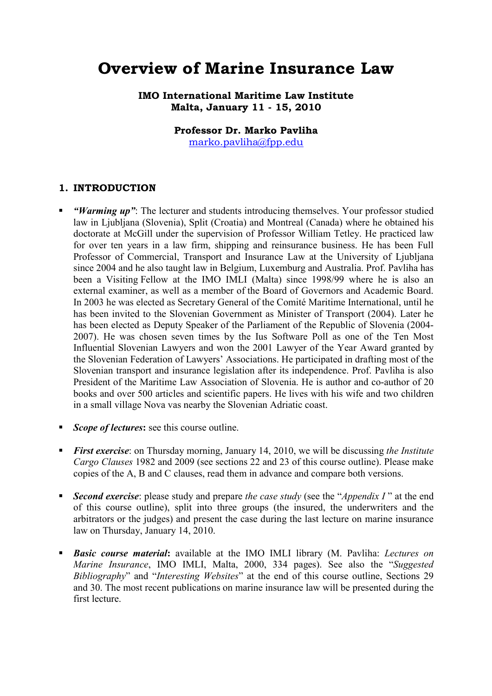# **Overview of Marine Insurance Law**

**IMO International Maritime Law Institute Malta, January 11 - 15, 2010** 

**Professor Dr. Marko Pavliha** 

marko.pavliha@fpp.edu

#### **1. INTRODUCTION**

- *"Warming up"*: The lecturer and students introducing themselves. Your professor studied law in Ljubljana (Slovenia), Split (Croatia) and Montreal (Canada) where he obtained his doctorate at McGill under the supervision of Professor William Tetley. He practiced law for over ten years in a law firm, shipping and reinsurance business. He has been Full Professor of Commercial, Transport and Insurance Law at the University of Ljubljana since 2004 and he also taught law in Belgium, Luxemburg and Australia. Prof. Pavliha has been a Visiting Fellow at the IMO IMLI (Malta) since 1998/99 where he is also an external examiner, as well as a member of the Board of Governors and Academic Board. In 2003 he was elected as Secretary General of the Comité Maritime International, until he has been invited to the Slovenian Government as Minister of Transport (2004). Later he has been elected as Deputy Speaker of the Parliament of the Republic of Slovenia (2004- 2007). He was chosen seven times by the Ius Software Poll as one of the Ten Most Influential Slovenian Lawyers and won the 2001 Lawyer of the Year Award granted by the Slovenian Federation of Lawyers' Associations. He participated in drafting most of the Slovenian transport and insurance legislation after its independence. Prof. Pavliha is also President of the Maritime Law Association of Slovenia. He is author and co-author of 20 books and over 500 articles and scientific papers. He lives with his wife and two children in a small village Nova vas nearby the Slovenian Adriatic coast.
- *Scope of lectures***:** see this course outline.
- *First exercise*: on Thursday morning, January 14, 2010, we will be discussing *the Institute Cargo Clauses* 1982 and 2009 (see sections 22 and 23 of this course outline). Please make copies of the A, B and C clauses, read them in advance and compare both versions.
- *Second exercise*: please study and prepare *the case study* (see the "*Appendix I* " at the end of this course outline), split into three groups (the insured, the underwriters and the arbitrators or the judges) and present the case during the last lecture on marine insurance law on Thursday, January 14, 2010.
- *Basic course material***:** available at the IMO IMLI library (M. Pavliha: *Lectures on Marine Insurance*, IMO IMLI, Malta, 2000, 334 pages). See also the "*Suggested Bibliography*" and "*Interesting Websites*" at the end of this course outline, Sections 29 and 30. The most recent publications on marine insurance law will be presented during the first lecture.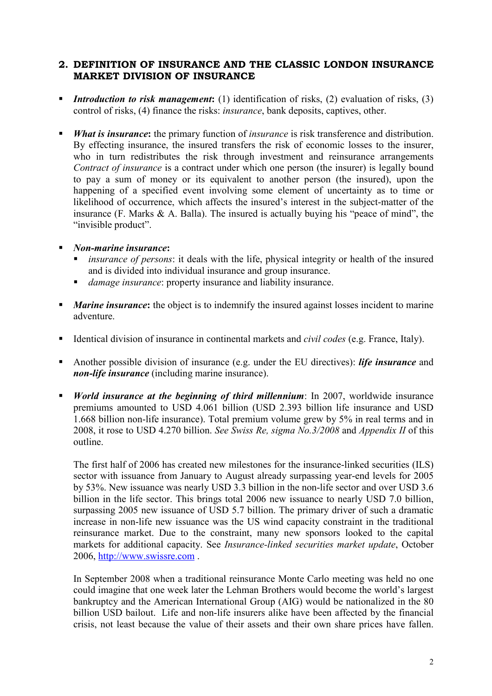# **2. DEFINITION OF INSURANCE AND THE CLASSIC LONDON INSURANCE MARKET DIVISION OF INSURANCE**

- *Introduction to risk management*: (1) identification of risks, (2) evaluation of risks, (3) control of risks, (4) finance the risks: *insurance*, bank deposits, captives, other.
- *What is insurance***:** the primary function of *insurance* is risk transference and distribution. By effecting insurance, the insured transfers the risk of economic losses to the insurer, who in turn redistributes the risk through investment and reinsurance arrangements *Contract of insurance* is a contract under which one person (the insurer) is legally bound to pay a sum of money or its equivalent to another person (the insured), upon the happening of a specified event involving some element of uncertainty as to time or likelihood of occurrence, which affects the insured's interest in the subject-matter of the insurance (F. Marks & A. Balla). The insured is actually buying his "peace of mind", the "invisible product".

#### *Non-marine insurance***:**

- *insurance of persons*: it deals with the life, physical integrity or health of the insured and is divided into individual insurance and group insurance.
- *damage insurance*: property insurance and liability insurance.
- **Marine insurance:** the object is to indemnify the insured against losses incident to marine adventure.
- Identical division of insurance in continental markets and *civil codes* (e.g. France, Italy).
- Another possible division of insurance (e.g. under the EU directives): *life insurance* and *non-life insurance* (including marine insurance).
- *World insurance at the beginning of third millennium*: In 2007, worldwide insurance premiums amounted to USD 4.061 billion (USD 2.393 billion life insurance and USD 1.668 billion non-life insurance). Total premium volume grew by 5% in real terms and in 2008, it rose to USD 4.270 billion. *See Swiss Re, sigma No.3/2008* and *Appendix II* of this outline.

The first half of 2006 has created new milestones for the insurance-linked securities (ILS) sector with issuance from January to August already surpassing year-end levels for 2005 by 53%. New issuance was nearly USD 3.3 billion in the non-life sector and over USD 3.6 billion in the life sector. This brings total 2006 new issuance to nearly USD 7.0 billion, surpassing 2005 new issuance of USD 5.7 billion. The primary driver of such a dramatic increase in non-life new issuance was the US wind capacity constraint in the traditional reinsurance market. Due to the constraint, many new sponsors looked to the capital markets for additional capacity. See *Insurance-linked securities market update*, October 2006, http://www.swissre.com .

In September 2008 when a traditional reinsurance Monte Carlo meeting was held no one could imagine that one week later the Lehman Brothers would become the world's largest bankruptcy and the American International Group (AIG) would be nationalized in the 80 billion USD bailout. Life and non-life insurers alike have been affected by the financial crisis, not least because the value of their assets and their own share prices have fallen.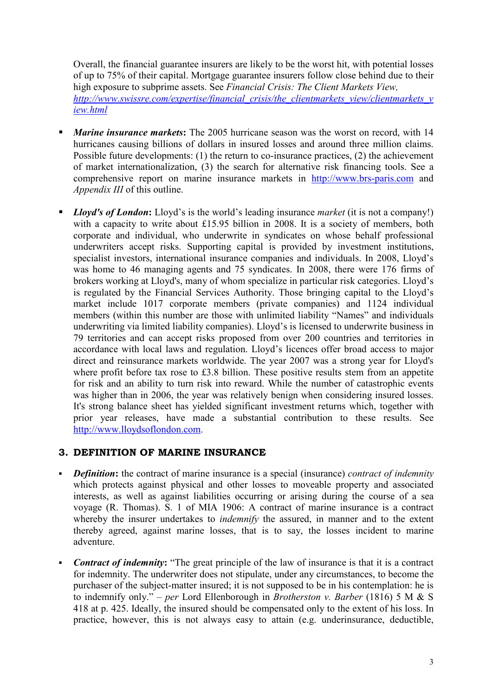Overall, the financial guarantee insurers are likely to be the worst hit, with potential losses of up to 75% of their capital. Mortgage guarantee insurers follow close behind due to their high exposure to subprime assets. See *Financial Crisis: The Client Markets View, http://www.swissre.com/expertise/financial\_crisis/the\_clientmarkets\_view/clientmarkets\_v iew.html*

- *Marine insurance markets*: The 2005 hurricane season was the worst on record, with 14 hurricanes causing billions of dollars in insured losses and around three million claims. Possible future developments: (1) the return to co-insurance practices, (2) the achievement of market internationalization, (3) the search for alternative risk financing tools. See a comprehensive report on marine insurance markets in http://www.brs-paris.com and *Appendix III* of this outline.
- *Lloyd's of London***:** Lloyd's is the world's leading insurance *market* (it is not a company!) with a capacity to write about £15.95 billion in 2008. It is a society of members, both corporate and individual, who underwrite in syndicates on whose behalf professional underwriters accept risks. Supporting capital is provided by investment institutions, specialist investors, international insurance companies and individuals. In 2008, Lloyd's was home to 46 managing agents and 75 syndicates. In 2008, there were 176 firms of brokers working at Lloyd's, many of whom specialize in particular risk categories. Lloyd's is regulated by the Financial Services Authority. Those bringing capital to the Lloyd's market include 1017 corporate members (private companies) and 1124 individual members (within this number are those with unlimited liability "Names" and individuals underwriting via limited liability companies). Lloyd's is licensed to underwrite business in 79 territories and can accept risks proposed from over 200 countries and territories in accordance with local laws and regulation. Lloyd's licences offer broad access to major direct and reinsurance markets worldwide. The year 2007 was a strong year for Lloyd's where profit before tax rose to £3.8 billion. These positive results stem from an appetite for risk and an ability to turn risk into reward. While the number of catastrophic events was higher than in 2006, the year was relatively benign when considering insured losses. It's strong balance sheet has yielded significant investment returns which, together with prior year releases, have made a substantial contribution to these results. See http://www.lloydsoflondon.com.

# **3. DEFINITION OF MARINE INSURANCE**

- *Definition*: the contract of marine insurance is a special (insurance) *contract of indemnity* which protects against physical and other losses to moveable property and associated interests, as well as against liabilities occurring or arising during the course of a sea voyage (R. Thomas). S. 1 of MIA 1906: A contract of marine insurance is a contract whereby the insurer undertakes to *indemnify* the assured, in manner and to the extent thereby agreed, against marine losses, that is to say, the losses incident to marine adventure.
- *Contract of indemnity*: "The great principle of the law of insurance is that it is a contract for indemnity. The underwriter does not stipulate, under any circumstances, to become the purchaser of the subject-matter insured; it is not supposed to be in his contemplation: he is to indemnify only." – *per* Lord Ellenborough in *Brotherston v. Barber* (1816) 5 M & S 418 at p. 425. Ideally, the insured should be compensated only to the extent of his loss. In practice, however, this is not always easy to attain (e.g. underinsurance, deductible,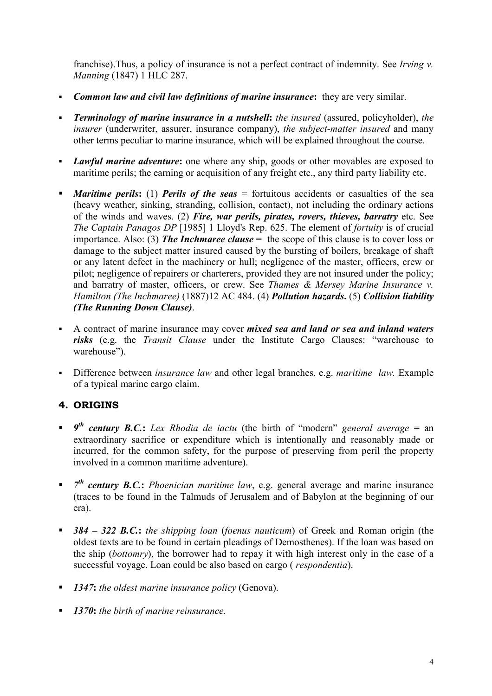franchise).Thus, a policy of insurance is not a perfect contract of indemnity. See *Irving v. Manning* (1847) 1 HLC 287.

- *Common law and civil law definitions of marine insurance***:** they are very similar.
- *Terminology of marine insurance in a nutshell***:** *the insured* (assured, policyholder), *the insurer* (underwriter, assurer, insurance company), *the subject-matter insured* and many other terms peculiar to marine insurance, which will be explained throughout the course.
- *Lawful marine adventure***:** one where any ship, goods or other movables are exposed to maritime perils; the earning or acquisition of any freight etc., any third party liability etc.
- *Maritime perils*: (1) *Perils of the seas* = fortuitous accidents or casualties of the sea (heavy weather, sinking, stranding, collision, contact), not including the ordinary actions of the winds and waves. (2) *Fire, war perils, pirates, rovers, thieves, barratry* etc. See *The Captain Panagos DP* [1985] 1 Lloyd's Rep. 625. The element of *fortuity* is of crucial importance. Also: (3) *The Inchmaree clause* = the scope of this clause is to cover loss or damage to the subject matter insured caused by the bursting of boilers, breakage of shaft or any latent defect in the machinery or hull; negligence of the master, officers, crew or pilot; negligence of repairers or charterers, provided they are not insured under the policy; and barratry of master, officers, or crew. See *Thames & Mersey Marine Insurance v. Hamilton (The Inchmaree)* (1887)12 AC 484. (4) *Pollution hazards***.** (5) *Collision liability (The Running Down Clause)*.
- A contract of marine insurance may cover *mixed sea and land or sea and inland waters risks* (e.g. the *Transit Clause* under the Institute Cargo Clauses: "warehouse to warehouse").
- Difference between *insurance law* and other legal branches, e.g. *maritime law.* Example of a typical marine cargo claim.

# **4. ORIGINS**

- *9 th century B.C.***:** *Lex Rhodia de iactu* (the birth of "modern" *general average* = an extraordinary sacrifice or expenditure which is intentionally and reasonably made or incurred, for the common safety, for the purpose of preserving from peril the property involved in a common maritime adventure).
- $\blacksquare$  *7<sup>th</sup>* century **B.C.**: *Phoenician maritime law*, e.g. general average and marine insurance (traces to be found in the Talmuds of Jerusalem and of Babylon at the beginning of our era).
- *384 322 B.C.***:** *the shipping loan* (*foenus nauticum*) of Greek and Roman origin (the oldest texts are to be found in certain pleadings of Demosthenes). If the loan was based on the ship (*bottomry*), the borrower had to repay it with high interest only in the case of a successful voyage. Loan could be also based on cargo ( *respondentia*).
- *1347***:** *the oldest marine insurance policy* (Genova).
- *1370***:** *the birth of marine reinsurance.*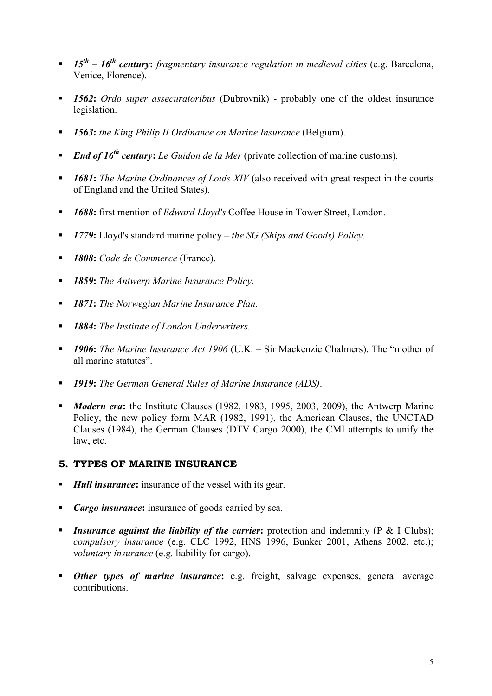- *15th 16th century***:** *fragmentary insurance regulation in medieval cities* (e.g. Barcelona, Venice, Florence).
- *1562***:** *Ordo super assecuratoribus* (Dubrovnik) probably one of the oldest insurance legislation.
- *1563***:** *the King Philip II Ordinance on Marine Insurance* (Belgium).
- *End of 16th century***:** *Le Guidon de la Mer* (private collection of marine customs).
- *1681***:** *The Marine Ordinances of Louis XIV* (also received with great respect in the courts of England and the United States).
- *1688***:** first mention of *Edward Lloyd's* Coffee House in Tower Street, London.
- *1779***:** Lloyd's standard marine policy *the SG (Ships and Goods) Policy*.
- *1808***:** *Code de Commerce* (France).
- *1859***:** *The Antwerp Marine Insurance Policy*.
- *1871***:** *The Norwegian Marine Insurance Plan*.
- *1884***:** *The Institute of London Underwriters.*
- *1906***:** *The Marine Insurance Act 1906* (U.K. Sir Mackenzie Chalmers). The "mother of all marine statutes".
- *1919***:** *The German General Rules of Marine Insurance (ADS)*.
- *Modern era***:** the Institute Clauses (1982, 1983, 1995, 2003, 2009), the Antwerp Marine Policy, the new policy form MAR (1982, 1991), the American Clauses, the UNCTAD Clauses (1984), the German Clauses (DTV Cargo 2000), the CMI attempts to unify the law, etc.

### **5. TYPES OF MARINE INSURANCE**

- *Hull insurance*: insurance of the vessel with its gear.
- **Cargo insurance:** insurance of goods carried by sea.
- **Insurance against the liability of the carrier;** protection and indemnity (P & I Clubs); *compulsory insurance* (e.g. CLC 1992, HNS 1996, Bunker 2001, Athens 2002, etc.); *voluntary insurance* (e.g. liability for cargo).
- *Other types of marine insurance*: e.g. freight, salvage expenses, general average contributions.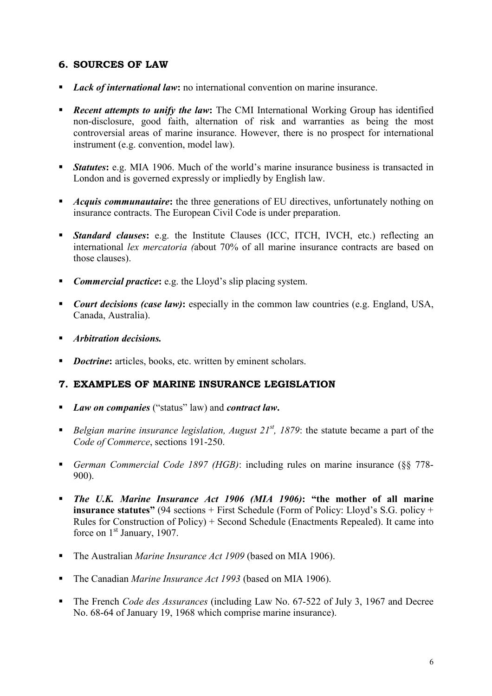# **6. SOURCES OF LAW**

- **Lack of international law**: no international convention on marine insurance.
- **Recent attempts to unify the law:** The CMI International Working Group has identified non-disclosure, good faith, alternation of risk and warranties as being the most controversial areas of marine insurance. However, there is no prospect for international instrument (e.g. convention, model law).
- **Statutes:** e.g. MIA 1906. Much of the world's marine insurance business is transacted in London and is governed expressly or impliedly by English law.
- **Acquis communautaire:** the three generations of EU directives, unfortunately nothing on insurance contracts. The European Civil Code is under preparation.
- **Standard clauses:** e.g. the Institute Clauses (ICC, ITCH, IVCH, etc.) reflecting an international *lex mercatoria (*about 70% of all marine insurance contracts are based on those clauses).
- *Commercial practice***:** e.g. the Lloyd's slip placing system.
- *Court decisions (case law)***:** especially in the common law countries (e.g. England, USA, Canada, Australia).
- *Arbitration decisions.*
- *Doctrine***:** articles, books, etc. written by eminent scholars.

### **7. EXAMPLES OF MARINE INSURANCE LEGISLATION**

- *Law on companies* ("status" law) and *contract law***.**
- *Belgian marine insurance legislation, August 21<sup>st</sup>, 1879;* the statute became a part of the *Code of Commerce*, sections 191-250.
- *German Commercial Code 1897 (HGB)*: including rules on marine insurance (§§ 778- 900).
- *The U.K. Marine Insurance Act 1906 (MIA 1906)***: "the mother of all marine insurance statutes"** (94 sections + First Schedule (Form of Policy: Lloyd's S.G. policy + Rules for Construction of Policy) + Second Schedule (Enactments Repealed). It came into force on 1<sup>st</sup> January, 1907.
- The Australian *Marine Insurance Act 1909* (based on MIA 1906).
- The Canadian *Marine Insurance Act 1993* (based on MIA 1906).
- The French *Code des Assurances* (including Law No. 67-522 of July 3, 1967 and Decree No. 68-64 of January 19, 1968 which comprise marine insurance).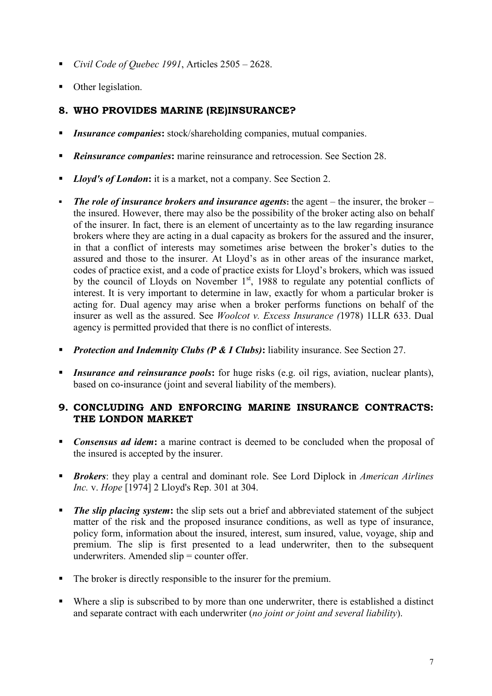- *Civil Code of Quebec 1991*, Articles 2505 2628.
- Other legislation.

# **8. WHO PROVIDES MARINE (RE)INSURANCE?**

- *Insurance companies***:** stock/shareholding companies, mutual companies.
- *Reinsurance companies***:** marine reinsurance and retrocession. See Section 28.
- *Lloyd's of London*: it is a market, not a company. See Section 2.
- *The role of insurance brokers and insurance agents***:** the agent the insurer, the broker the insured. However, there may also be the possibility of the broker acting also on behalf of the insurer. In fact, there is an element of uncertainty as to the law regarding insurance brokers where they are acting in a dual capacity as brokers for the assured and the insurer, in that a conflict of interests may sometimes arise between the broker's duties to the assured and those to the insurer. At Lloyd's as in other areas of the insurance market, codes of practice exist, and a code of practice exists for Lloyd's brokers, which was issued by the council of Lloyds on November 1<sup>st</sup>, 1988 to regulate any potential conflicts of interest. It is very important to determine in law, exactly for whom a particular broker is acting for. Dual agency may arise when a broker performs functions on behalf of the insurer as well as the assured. See *Woolcot v. Excess Insurance (*1978) 1LLR 633. Dual agency is permitted provided that there is no conflict of interests.
- *Protection and Indemnity Clubs (P & I Clubs)***:** liability insurance. See Section 27.
- *Insurance and reinsurance pools***:** for huge risks (e.g. oil rigs, aviation, nuclear plants), based on co-insurance (joint and several liability of the members).

### **9. CONCLUDING AND ENFORCING MARINE INSURANCE CONTRACTS: THE LONDON MARKET**

- **Consensus ad idem:** a marine contract is deemed to be concluded when the proposal of the insured is accepted by the insurer.
- *Brokers*: they play a central and dominant role. See Lord Diplock in *American Airlines Inc.* v. *Hope* [1974] 2 Lloyd's Rep. 301 at 304.
- *The slip placing system*: the slip sets out a brief and abbreviated statement of the subject matter of the risk and the proposed insurance conditions, as well as type of insurance, policy form, information about the insured, interest, sum insured, value, voyage, ship and premium. The slip is first presented to a lead underwriter, then to the subsequent underwriters. Amended slip = counter offer.
- The broker is directly responsible to the insurer for the premium.
- Where a slip is subscribed to by more than one underwriter, there is established a distinct and separate contract with each underwriter (*no joint or joint and several liability*).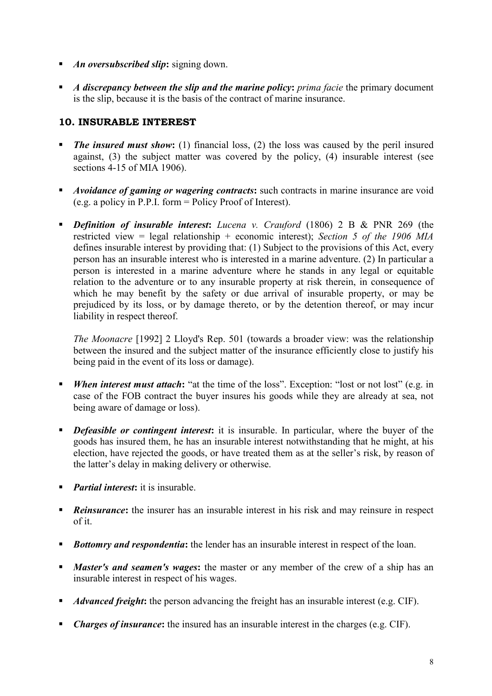- *An oversubscribed slip***:** signing down.
- *A discrepancy between the slip and the marine policy***:** *prima facie* the primary document is the slip, because it is the basis of the contract of marine insurance.

# **10. INSURABLE INTEREST**

- *The insured must show***:** (1) financial loss, (2) the loss was caused by the peril insured against, (3) the subject matter was covered by the policy, (4) insurable interest (see sections 4-15 of MIA 1906).
- **Avoidance of gaming or wagering contracts:** such contracts in marine insurance are void (e.g. a policy in P.P.I. form = Policy Proof of Interest).
- *Definition of insurable interest***:** *Lucena v. Crauford* (1806) 2 B & PNR 269 (the restricted view = legal relationship + economic interest); *Section 5 of the 1906 MIA* defines insurable interest by providing that: (1) Subject to the provisions of this Act, every person has an insurable interest who is interested in a marine adventure. (2) In particular a person is interested in a marine adventure where he stands in any legal or equitable relation to the adventure or to any insurable property at risk therein, in consequence of which he may benefit by the safety or due arrival of insurable property, or may be prejudiced by its loss, or by damage thereto, or by the detention thereof, or may incur liability in respect thereof.

*The Moonacre* [1992] 2 Lloyd's Rep. 501 (towards a broader view: was the relationship between the insured and the subject matter of the insurance efficiently close to justify his being paid in the event of its loss or damage).

- *When interest must attach***:** "at the time of the loss". Exception: "lost or not lost" (e.g. in case of the FOB contract the buyer insures his goods while they are already at sea, not being aware of damage or loss).
- **•** Defeasible or contingent interest: it is insurable. In particular, where the buyer of the goods has insured them, he has an insurable interest notwithstanding that he might, at his election, have rejected the goods, or have treated them as at the seller's risk, by reason of the latter's delay in making delivery or otherwise.
- *Partial interest***:** it is insurable.
- **Reinsurance:** the insurer has an insurable interest in his risk and may reinsure in respect of it.
- **Bottomry and respondentia:** the lender has an insurable interest in respect of the loan.
- *Master's and seamen's wages***:** the master or any member of the crew of a ship has an insurable interest in respect of his wages.
- **Advanced freight:** the person advancing the freight has an insurable interest (e.g. CIF).
- *Charges of insurance***:** the insured has an insurable interest in the charges (e.g. CIF).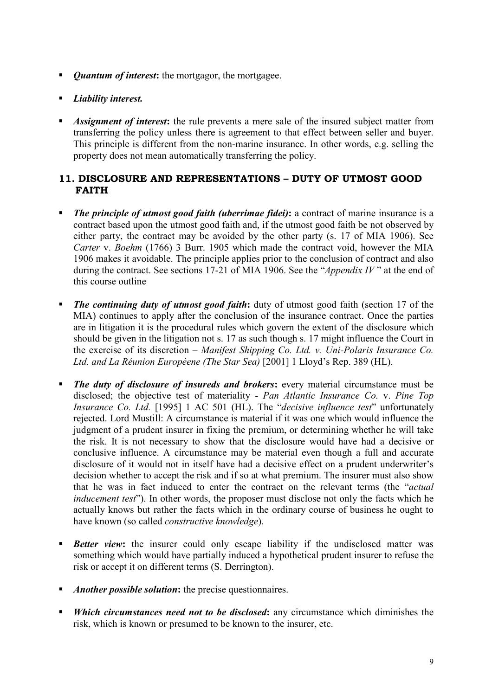- *Quantum of interest***:** the mortgagor, the mortgagee.
- *Liability interest.*
- *Assignment of interest***:** the rule prevents a mere sale of the insured subject matter from transferring the policy unless there is agreement to that effect between seller and buyer. This principle is different from the non-marine insurance. In other words, e.g. selling the property does not mean automatically transferring the policy.

# **11. DISCLOSURE AND REPRESENTATIONS – DUTY OF UTMOST GOOD FAITH**

- *The principle of utmost good faith (uberrimae fidei)***:** a contract of marine insurance is a contract based upon the utmost good faith and, if the utmost good faith be not observed by either party, the contract may be avoided by the other party (s. 17 of MIA 1906). See *Carter* v. *Boehm* (1766) 3 Burr. 1905 which made the contract void, however the MIA 1906 makes it avoidable. The principle applies prior to the conclusion of contract and also during the contract. See sections 17-21 of MIA 1906. See the "*Appendix IV* " at the end of this course outline
- *The continuing duty of utmost good faith***:** duty of utmost good faith (section 17 of the MIA) continues to apply after the conclusion of the insurance contract. Once the parties are in litigation it is the procedural rules which govern the extent of the disclosure which should be given in the litigation not s. 17 as such though s. 17 might influence the Court in the exercise of its discretion – *Manifest Shipping Co. Ltd. v. Uni-Polaris Insurance Co. Ltd. and La Réunion Européene (The Star Sea)* [2001] 1 Lloyd's Rep. 389 (HL).
- *The duty of disclosure of insureds and brokers*: every material circumstance must be disclosed; the objective test of materiality - *Pan Atlantic Insurance Co.* v. *Pine Top Insurance Co. Ltd.* [1995] 1 AC 501 (HL). The "*decisive influence test*" unfortunately rejected. Lord Mustill: A circumstance is material if it was one which would influence the judgment of a prudent insurer in fixing the premium, or determining whether he will take the risk. It is not necessary to show that the disclosure would have had a decisive or conclusive influence. A circumstance may be material even though a full and accurate disclosure of it would not in itself have had a decisive effect on a prudent underwriter's decision whether to accept the risk and if so at what premium. The insurer must also show that he was in fact induced to enter the contract on the relevant terms (the "*actual inducement test*"). In other words, the proposer must disclose not only the facts which he actually knows but rather the facts which in the ordinary course of business he ought to have known (so called *constructive knowledge*).
- **Better view:** the insurer could only escape liability if the undisclosed matter was something which would have partially induced a hypothetical prudent insurer to refuse the risk or accept it on different terms (S. Derrington).
- *Another possible solution***:** the precise questionnaires.
- *Which circumstances need not to be disclosed***:** any circumstance which diminishes the risk, which is known or presumed to be known to the insurer, etc.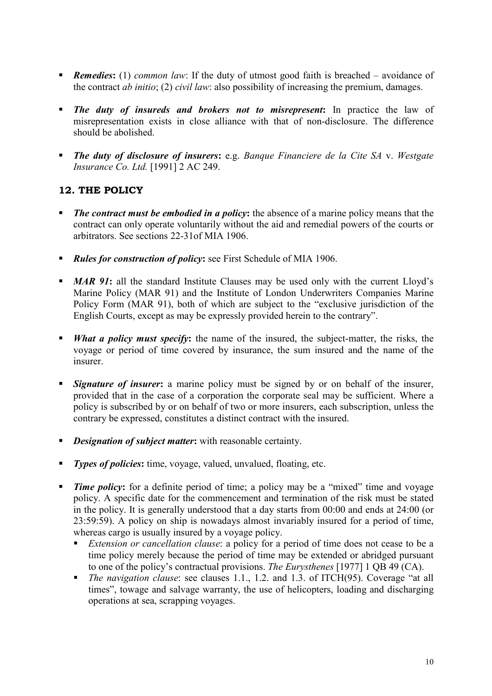- *Remedies***:** (1) *common law*: If the duty of utmost good faith is breached avoidance of the contract *ab initio*; (2) *civil law*: also possibility of increasing the premium, damages.
- *The duty of insureds and brokers not to misrepresent***:** In practice the law of misrepresentation exists in close alliance with that of non-disclosure. The difference should be abolished.
- *The duty of disclosure of insurers***:** e.g. *Banque Financiere de la Cite SA* v. *Westgate Insurance Co. Ltd.* [1991] 2 AC 249.

# **12. THE POLICY**

- *The contract must be embodied in a policy***:** the absence of a marine policy means that the contract can only operate voluntarily without the aid and remedial powers of the courts or arbitrators. See sections 22-31of MIA 1906.
- **Rules for construction of policy; see First Schedule of MIA 1906.**
- **MAR 91:** all the standard Institute Clauses may be used only with the current Lloyd's Marine Policy (MAR 91) and the Institute of London Underwriters Companies Marine Policy Form (MAR 91), both of which are subject to the "exclusive jurisdiction of the English Courts, except as may be expressly provided herein to the contrary".
- *What a policy must specify***:** the name of the insured, the subject-matter, the risks, the voyage or period of time covered by insurance, the sum insured and the name of the insurer.
- **Signature of insurer:** a marine policy must be signed by or on behalf of the insurer, provided that in the case of a corporation the corporate seal may be sufficient. Where a policy is subscribed by or on behalf of two or more insurers, each subscription, unless the contrary be expressed, constitutes a distinct contract with the insured.
- *Designation of subject matter***:** with reasonable certainty.
- **Types of policies:** time, voyage, valued, unvalued, floating, etc.
- **Time policy:** for a definite period of time; a policy may be a "mixed" time and voyage policy. A specific date for the commencement and termination of the risk must be stated in the policy. It is generally understood that a day starts from 00:00 and ends at 24:00 (or 23:59:59). A policy on ship is nowadays almost invariably insured for a period of time, whereas cargo is usually insured by a voyage policy.
	- *Extension or cancellation clause*: a policy for a period of time does not cease to be a time policy merely because the period of time may be extended or abridged pursuant to one of the policy's contractual provisions. *The Eurysthenes* [1977] 1 QB 49 (CA).
	- *The navigation clause*: see clauses 1.1., 1.2. and 1.3. of ITCH(95). Coverage "at all times", towage and salvage warranty, the use of helicopters, loading and discharging operations at sea, scrapping voyages.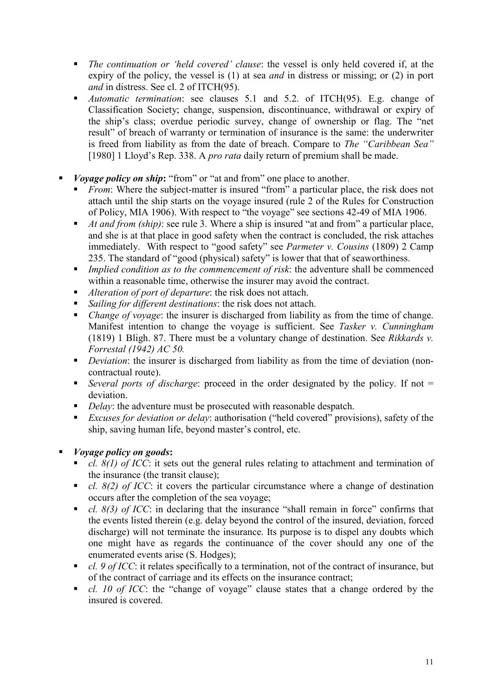- *The continuation or 'held covered' clause*: the vessel is only held covered if, at the expiry of the policy, the vessel is (1) at sea *and* in distress or missing; or (2) in port *and* in distress. See cl. 2 of ITCH(95).
- *Automatic termination*: see clauses 5.1 and 5.2. of ITCH(95). E.g. change of Classification Society; change, suspension, discontinuance, withdrawal or expiry of the ship's class; overdue periodic survey, change of ownership or flag. The "net result" of breach of warranty or termination of insurance is the same: the underwriter is freed from liability as from the date of breach. Compare to *The "Caribbean Sea"* [1980] 1 Lloyd's Rep. 338. A *pro rata* daily return of premium shall be made.
- *Voyage policy on ship*: "from" or "at and from" one place to another.
	- **Figure 1.1** From: Where the subject-matter is insured "from" a particular place, the risk does not attach until the ship starts on the voyage insured (rule 2 of the Rules for Construction of Policy, MIA 1906). With respect to "the voyage" see sections 42-49 of MIA 1906.
	- *At and from (ship)*: see rule 3. Where a ship is insured "at and from" a particular place, and she is at that place in good safety when the contract is concluded, the risk attaches immediately. With respect to "good safety" see *Parmeter v. Cousins* (1809) 2 Camp 235. The standard of "good (physical) safety" is lower that that of seaworthiness.
	- *Implied condition as to the commencement of risk*: the adventure shall be commenced within a reasonable time, otherwise the insurer may avoid the contract.
	- *Alteration of port of departure*: the risk does not attach.
	- *Sailing for different destinations*: the risk does not attach.
	- *Change of voyage*: the insurer is discharged from liability as from the time of change. Manifest intention to change the voyage is sufficient. See *Tasker v. Cunningham* (1819) 1 Bligh. 87. There must be a voluntary change of destination. See *Rikkards v. Forrestal (1942) AC 50.*
	- *Deviation*: the insurer is discharged from liability as from the time of deviation (noncontractual route).
	- *Several ports of discharge*: proceed in the order designated by the policy. If not = deviation.
	- *Delay*: the adventure must be prosecuted with reasonable despatch.
	- *Excuses for deviation or delay*: authorisation ("held covered" provisions), safety of the ship, saving human life, beyond master's control, etc.
- *Voyage policy on goods***:**
	- *cl. 8(1) of ICC*: it sets out the general rules relating to attachment and termination of the insurance (the transit clause);
	- *cl. 8(2) of ICC*: it covers the particular circumstance where a change of destination occurs after the completion of the sea voyage;
	- *cl. 8(3) of ICC*: in declaring that the insurance "shall remain in force" confirms that the events listed therein (e.g. delay beyond the control of the insured, deviation, forced discharge) will not terminate the insurance. Its purpose is to dispel any doubts which one might have as regards the continuance of the cover should any one of the enumerated events arise (S. Hodges);
	- *cl. 9 of ICC*: it relates specifically to a termination, not of the contract of insurance, but of the contract of carriage and its effects on the insurance contract;
	- *cl. 10 of ICC*: the "change of voyage" clause states that a change ordered by the insured is covered.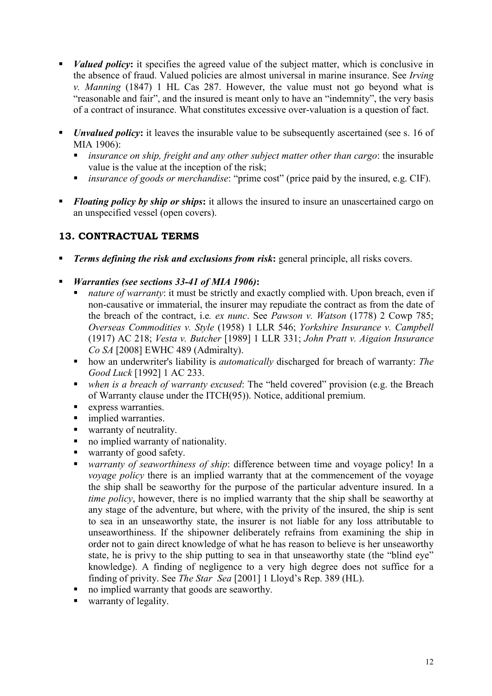- *Valued policy*: it specifies the agreed value of the subject matter, which is conclusive in the absence of fraud. Valued policies are almost universal in marine insurance. See *Irving v. Manning* (1847) 1 HL Cas 287. However, the value must not go beyond what is "reasonable and fair", and the insured is meant only to have an "indemnity", the very basis of a contract of insurance. What constitutes excessive over-valuation is a question of fact.
- *Unvalued policy*: it leaves the insurable value to be subsequently ascertained (see s. 16 of MIA 1906):
	- *insurance on ship, freight and any other subject matter other than cargo*: the insurable value is the value at the inception of the risk;
	- *insurance of goods or merchandise*: "prime cost" (price paid by the insured, e.g. CIF).
- **Floating policy by ship or ships:** it allows the insured to insure an unascertained cargo on an unspecified vessel (open covers).

# **13. CONTRACTUAL TERMS**

- *Terms defining the risk and exclusions from risk***:** general principle, all risks covers.
- *Warranties (see sections 33-41 of MIA 1906)***:**
	- *nature of warranty*: it must be strictly and exactly complied with. Upon breach, even if non-causative or immaterial, the insurer may repudiate the contract as from the date of the breach of the contract, i.e*. ex nunc*. See *Pawson v. Watson* (1778) 2 Cowp 785; *Overseas Commodities v. Style* (1958) 1 LLR 546; *Yorkshire Insurance v. Campbell* (1917) AC 218; *Vesta v. Butcher* [1989] 1 LLR 331; *John Pratt v. Aigaion Insurance Co SA* [2008] EWHC 489 (Admiralty).
	- how an underwriter's liability is *automatically* discharged for breach of warranty: *The Good Luck* [1992] 1 AC 233.
	- *when is a breach of warranty excused*: The "held covered" provision (e.g. the Breach of Warranty clause under the ITCH(95)). Notice, additional premium.
	- **express warranties.**
	- **implied warranties.**
	- warranty of neutrality.
	- no implied warranty of nationality.
	- warranty of good safety.
	- *warranty of seaworthiness of ship*: difference between time and voyage policy! In a *voyage policy* there is an implied warranty that at the commencement of the voyage the ship shall be seaworthy for the purpose of the particular adventure insured. In a *time policy*, however, there is no implied warranty that the ship shall be seaworthy at any stage of the adventure, but where, with the privity of the insured, the ship is sent to sea in an unseaworthy state, the insurer is not liable for any loss attributable to unseaworthiness. If the shipowner deliberately refrains from examining the ship in order not to gain direct knowledge of what he has reason to believe is her unseaworthy state, he is privy to the ship putting to sea in that unseaworthy state (the "blind eye" knowledge). A finding of negligence to a very high degree does not suffice for a finding of privity. See *The Star Sea* [2001] 1 Lloyd's Rep. 389 (HL).
	- no implied warranty that goods are seaworthy.
	- warranty of legality.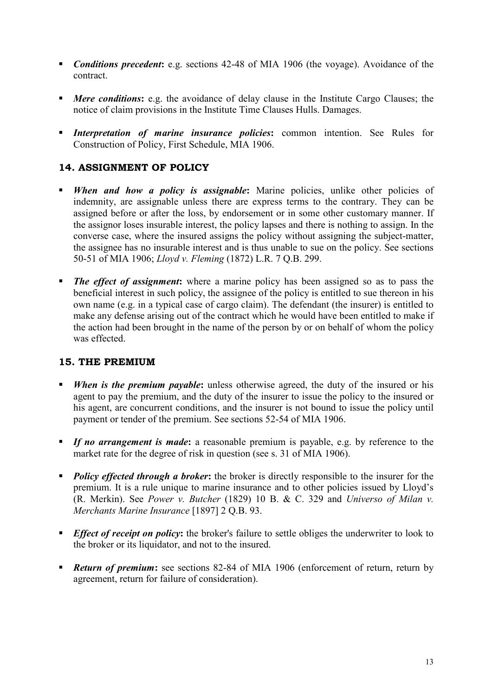- **Conditions precedent:** e.g. sections 42-48 of MIA 1906 (the voyage). Avoidance of the contract.
- **Mere conditions:** e.g. the avoidance of delay clause in the Institute Cargo Clauses; the notice of claim provisions in the Institute Time Clauses Hulls. Damages.
- *Interpretation of marine insurance policies***:** common intention. See Rules for Construction of Policy, First Schedule, MIA 1906.

# **14. ASSIGNMENT OF POLICY**

- **When and how a policy is assignable:** Marine policies, unlike other policies of indemnity, are assignable unless there are express terms to the contrary. They can be assigned before or after the loss, by endorsement or in some other customary manner. If the assignor loses insurable interest, the policy lapses and there is nothing to assign. In the converse case, where the insured assigns the policy without assigning the subject-matter, the assignee has no insurable interest and is thus unable to sue on the policy. See sections 50-51 of MIA 1906; *Lloyd v. Fleming* (1872) L.R. 7 Q.B. 299.
- **The effect of assignment:** where a marine policy has been assigned so as to pass the beneficial interest in such policy, the assignee of the policy is entitled to sue thereon in his own name (e.g. in a typical case of cargo claim). The defendant (the insurer) is entitled to make any defense arising out of the contract which he would have been entitled to make if the action had been brought in the name of the person by or on behalf of whom the policy was effected.

### **15. THE PREMIUM**

- *When is the premium payable*: unless otherwise agreed, the duty of the insured or his agent to pay the premium, and the duty of the insurer to issue the policy to the insured or his agent, are concurrent conditions, and the insurer is not bound to issue the policy until payment or tender of the premium. See sections 52-54 of MIA 1906.
- *If no arrangement is made*: a reasonable premium is payable, e.g. by reference to the market rate for the degree of risk in question (see s. 31 of MIA 1906).
- **Policy effected through a broker:** the broker is directly responsible to the insurer for the premium. It is a rule unique to marine insurance and to other policies issued by Lloyd's (R. Merkin). See *Power v. Butcher* (1829) 10 B. & C. 329 and *Universo of Milan v. Merchants Marine Insurance* [1897] 2 Q.B. 93.
- **Effect of receipt on policy:** the broker's failure to settle obliges the underwriter to look to the broker or its liquidator, and not to the insured.
- **Return of premium:** see sections 82-84 of MIA 1906 (enforcement of return, return by agreement, return for failure of consideration).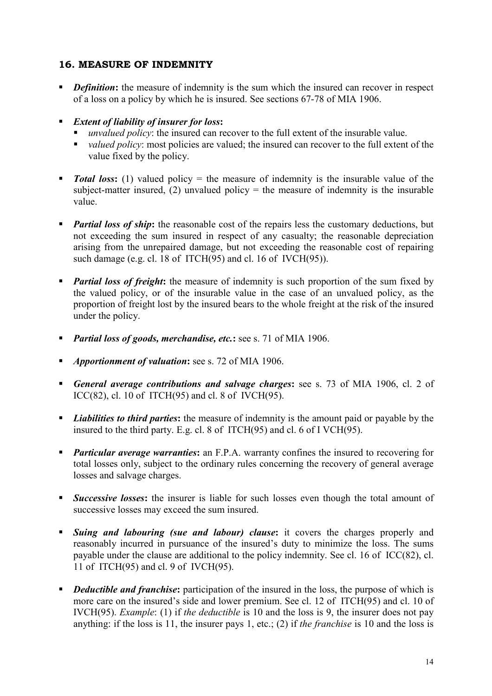# **16. MEASURE OF INDEMNITY**

- *Definition*: the measure of indemnity is the sum which the insured can recover in respect of a loss on a policy by which he is insured. See sections 67-78 of MIA 1906.
- *Extent of liability of insurer for loss***:**
	- *unvalued policy*: the insured can recover to the full extent of the insurable value.
	- *valued policy*: most policies are valued; the insured can recover to the full extent of the value fixed by the policy.
- *Total loss*: (1) valued policy = the measure of indemnity is the insurable value of the subject-matter insured, (2) unvalued policy  $=$  the measure of indemnity is the insurable value.
- **Partial loss of ship:** the reasonable cost of the repairs less the customary deductions, but not exceeding the sum insured in respect of any casualty; the reasonable depreciation arising from the unrepaired damage, but not exceeding the reasonable cost of repairing such damage (e.g. cl. 18 of ITCH(95) and cl. 16 of IVCH(95)).
- **Partial loss of freight:** the measure of indemnity is such proportion of the sum fixed by the valued policy, or of the insurable value in the case of an unvalued policy, as the proportion of freight lost by the insured bears to the whole freight at the risk of the insured under the policy.
- *Partial loss of goods, merchandise, etc.***:** see s. 71 of MIA 1906.
- *Apportionment of valuation***:** see s. 72 of MIA 1906.
- *General average contributions and salvage charges***:** see s. 73 of MIA 1906, cl. 2 of ICC(82), cl. 10 of ITCH(95) and cl. 8 of IVCH(95).
- **Liabilities to third parties:** the measure of indemnity is the amount paid or payable by the insured to the third party. E.g. cl. 8 of ITCH(95) and cl. 6 of I VCH(95).
- **Particular average warranties:** an F.P.A. warranty confines the insured to recovering for total losses only, subject to the ordinary rules concerning the recovery of general average losses and salvage charges.
- **Successive losses:** the insurer is liable for such losses even though the total amount of successive losses may exceed the sum insured.
- *Suing and labouring (sue and labour) clause***:** it covers the charges properly and reasonably incurred in pursuance of the insured's duty to minimize the loss. The sums payable under the clause are additional to the policy indemnity. See cl. 16 of ICC(82), cl. 11 of ITCH(95) and cl. 9 of IVCH(95).
- **•** *Deductible and franchise*: participation of the insured in the loss, the purpose of which is more care on the insured's side and lower premium. See cl. 12 of ITCH(95) and cl. 10 of IVCH(95). *Example*: (1) if *the deductible* is 10 and the loss is 9, the insurer does not pay anything: if the loss is 11, the insurer pays 1, etc.; (2) if *the franchise* is 10 and the loss is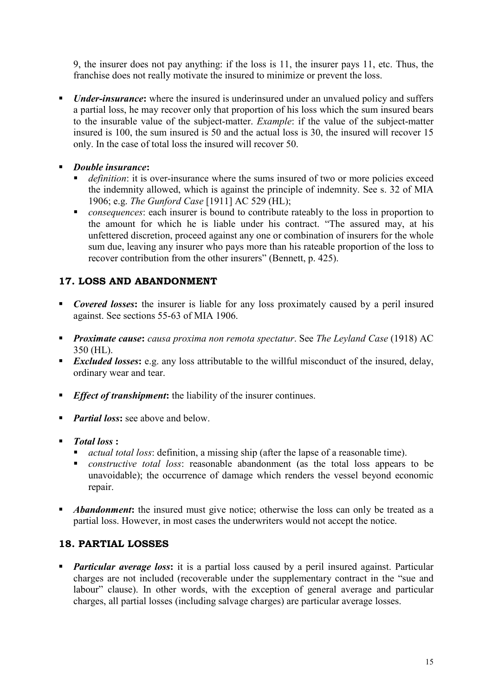9, the insurer does not pay anything: if the loss is 11, the insurer pays 11, etc. Thus, the franchise does not really motivate the insured to minimize or prevent the loss.

- *Under-insurance*: where the insured is underinsured under an unvalued policy and suffers a partial loss, he may recover only that proportion of his loss which the sum insured bears to the insurable value of the subject-matter. *Example*: if the value of the subject-matter insured is 100, the sum insured is 50 and the actual loss is 30, the insured will recover 15 only. In the case of total loss the insured will recover 50.
- *Double insurance***:** 
	- *definition*: it is over-insurance where the sums insured of two or more policies exceed the indemnity allowed, which is against the principle of indemnity. See s. 32 of MIA 1906; e.g. *The Gunford Case* [1911] AC 529 (HL);
	- **F** *consequences*: each insurer is bound to contribute rateably to the loss in proportion to the amount for which he is liable under his contract. "The assured may, at his unfettered discretion, proceed against any one or combination of insurers for the whole sum due, leaving any insurer who pays more than his rateable proportion of the loss to recover contribution from the other insurers" (Bennett, p. 425).

# **17. LOSS AND ABANDONMENT**

- **Covered losses:** the insurer is liable for any loss proximately caused by a peril insured against. See sections 55-63 of MIA 1906.
- *Proximate cause***:** *causa proxima non remota spectatur*. See *The Leyland Case* (1918) AC 350 (HL).
- **Excluded losses:** e.g. any loss attributable to the willful misconduct of the insured, delay, ordinary wear and tear.
- **Effect of transhipment:** the liability of the insurer continues.
- *Partial loss:* see above and below.
- *Total loss* **:**
	- *actual total loss*: definition, a missing ship (after the lapse of a reasonable time).
	- *constructive total loss*: reasonable abandonment (as the total loss appears to be unavoidable); the occurrence of damage which renders the vessel beyond economic repair.
- **Abandonment:** the insured must give notice; otherwise the loss can only be treated as a partial loss. However, in most cases the underwriters would not accept the notice.

# **18. PARTIAL LOSSES**

**Particular average loss:** it is a partial loss caused by a peril insured against. Particular charges are not included (recoverable under the supplementary contract in the "sue and labour" clause). In other words, with the exception of general average and particular charges, all partial losses (including salvage charges) are particular average losses.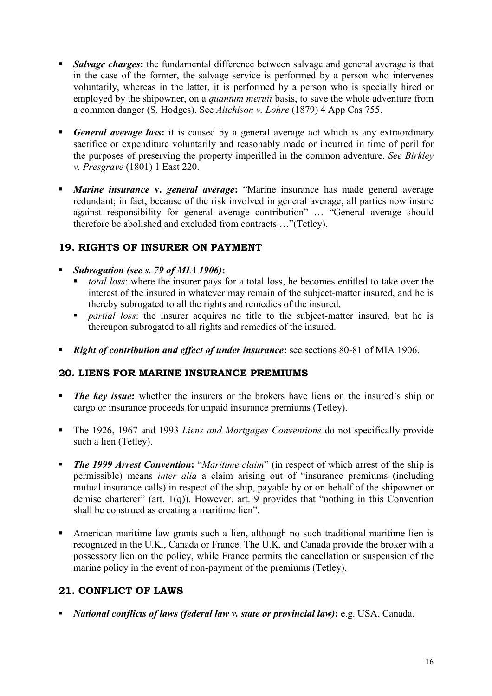- **Salvage charges:** the fundamental difference between salvage and general average is that in the case of the former, the salvage service is performed by a person who intervenes voluntarily, whereas in the latter, it is performed by a person who is specially hired or employed by the shipowner, on a *quantum meruit* basis, to save the whole adventure from a common danger (S. Hodges). See *Aitchison v. Lohre* (1879) 4 App Cas 755.
- *General average loss*: it is caused by a general average act which is any extraordinary sacrifice or expenditure voluntarily and reasonably made or incurred in time of peril for the purposes of preserving the property imperilled in the common adventure. *See Birkley v. Presgrave* (1801) 1 East 220.
- *Marine insurance* v. *general average*: "Marine insurance has made general average redundant; in fact, because of the risk involved in general average, all parties now insure against responsibility for general average contribution" … "General average should therefore be abolished and excluded from contracts …"(Tetley).

# **19. RIGHTS OF INSURER ON PAYMENT**

### *Subrogation (see s. 79 of MIA 1906)***:**

- *total loss*: where the insurer pays for a total loss, he becomes entitled to take over the interest of the insured in whatever may remain of the subject-matter insured, and he is thereby subrogated to all the rights and remedies of the insured.
- *partial loss:* the insurer acquires no title to the subject-matter insured, but he is thereupon subrogated to all rights and remedies of the insured.
- *Right of contribution and effect of under insurance***:** see sections 80-81 of MIA 1906.

### **20. LIENS FOR MARINE INSURANCE PREMIUMS**

- *The key issue*: whether the insurers or the brokers have liens on the insured's ship or cargo or insurance proceeds for unpaid insurance premiums (Tetley).
- The 1926, 1967 and 1993 *Liens and Mortgages Conventions* do not specifically provide such a lien (Tetley).
- **The 1999 Arrest Convention:** "*Maritime claim*" (in respect of which arrest of the ship is permissible) means *inter alia* a claim arising out of "insurance premiums (including mutual insurance calls) in respect of the ship, payable by or on behalf of the shipowner or demise charterer" (art. 1(q)). However. art. 9 provides that "nothing in this Convention shall be construed as creating a maritime lien".
- American maritime law grants such a lien, although no such traditional maritime lien is recognized in the U.K., Canada or France. The U.K. and Canada provide the broker with a possessory lien on the policy, while France permits the cancellation or suspension of the marine policy in the event of non-payment of the premiums (Tetley).

# **21. CONFLICT OF LAWS**

*National conflicts of laws (federal law v. state or provincial law)***:** e.g. USA, Canada.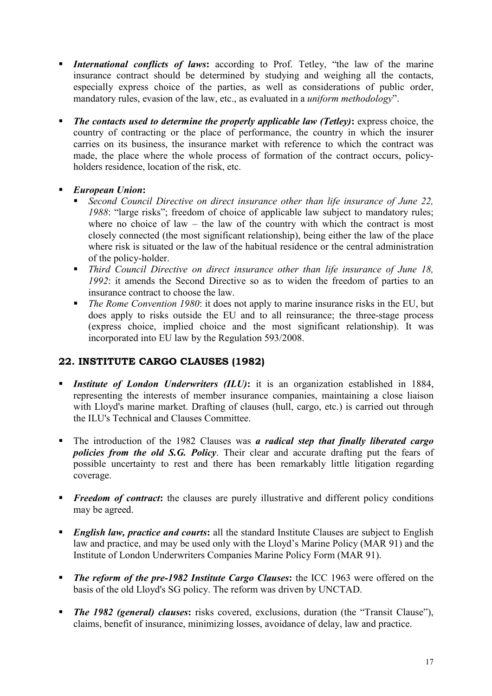- **International conflicts of laws:** according to Prof. Tetley, "the law of the marine insurance contract should be determined by studying and weighing all the contacts, especially express choice of the parties, as well as considerations of public order, mandatory rules, evasion of the law, etc., as evaluated in a *uniform methodology*".
- *The contacts used to determine the properly applicable law (Tetley)***:** express choice, the country of contracting or the place of performance, the country in which the insurer carries on its business, the insurance market with reference to which the contract was made, the place where the whole process of formation of the contract occurs, policyholders residence, location of the risk, etc.
- *European Union***:** 
	- *Second Council Directive on direct insurance other than life insurance of June 22, 1988*: "large risks"; freedom of choice of applicable law subject to mandatory rules; where no choice of law – the law of the country with which the contract is most closely connected (the most significant relationship), being either the law of the place where risk is situated or the law of the habitual residence or the central administration of the policy-holder.
	- *Third Council Directive on direct insurance other than life insurance of June 18, 1992*: it amends the Second Directive so as to widen the freedom of parties to an insurance contract to choose the law.
	- *The Rome Convention 1980*: it does not apply to marine insurance risks in the EU, but does apply to risks outside the EU and to all reinsurance; the three-stage process (express choice, implied choice and the most significant relationship). It was incorporated into EU law by the Regulation 593/2008.

# **22. INSTITUTE CARGO CLAUSES (1982)**

- **Institute of London Underwriters (ILU):** it is an organization established in 1884, representing the interests of member insurance companies, maintaining a close liaison with Lloyd's marine market. Drafting of clauses (hull, cargo, etc.) is carried out through the ILU's Technical and Clauses Committee.
- The introduction of the 1982 Clauses was *a radical step that finally liberated cargo policies from the old S.G. Policy*. Their clear and accurate drafting put the fears of possible uncertainty to rest and there has been remarkably little litigation regarding coverage.
- **Freedom of contract:** the clauses are purely illustrative and different policy conditions may be agreed.
- **English law, practice and courts:** all the standard Institute Clauses are subject to English law and practice, and may be used only with the Lloyd's Marine Policy (MAR 91) and the Institute of London Underwriters Companies Marine Policy Form (MAR 91).
- *The reform of the pre-1982 Institute Cargo Clauses***:** the ICC 1963 were offered on the basis of the old Lloyd's SG policy. The reform was driven by UNCTAD.
- **The 1982 (general) clauses:** risks covered, exclusions, duration (the "Transit Clause"), claims, benefit of insurance, minimizing losses, avoidance of delay, law and practice.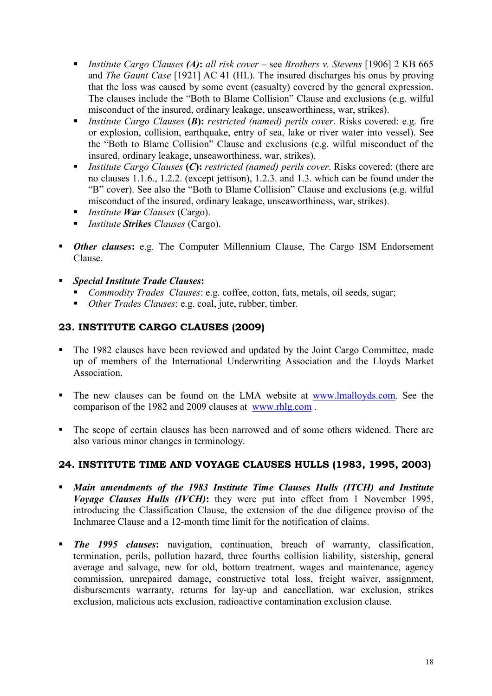- *Institute Cargo Clauses (A)***:** *all risk cover* see *Brothers v. Stevens* [1906] 2 KB 665 and *The Gaunt Case* [1921] AC 41 (HL). The insured discharges his onus by proving that the loss was caused by some event (casualty) covered by the general expression. The clauses include the "Both to Blame Collision" Clause and exclusions (e.g. wilful misconduct of the insured, ordinary leakage, unseaworthiness, war, strikes).
- *Institute Cargo Clauses* **(***B***):** *restricted (named) perils cover*. Risks covered: e.g. fire or explosion, collision, earthquake, entry of sea, lake or river water into vessel). See the "Both to Blame Collision" Clause and exclusions (e.g. wilful misconduct of the insured, ordinary leakage, unseaworthiness, war, strikes).
- *Institute Cargo Clauses* **(***C***):** *restricted (named) perils cover*. Risks covered: (there are no clauses 1.1.6., 1.2.2. (except jettison), 1.2.3. and 1.3. which can be found under the "B" cover). See also the "Both to Blame Collision" Clause and exclusions (e.g. wilful misconduct of the insured, ordinary leakage, unseaworthiness, war, strikes).
- *Institute War Clauses* (Cargo).
- *Institute Strikes Clauses* (Cargo).
- *Other clauses:* e.g. The Computer Millennium Clause, The Cargo ISM Endorsement Clause.
- *Special Institute Trade Clauses***:**
	- *Commodity Trades Clauses*: e.g. coffee, cotton, fats, metals, oil seeds, sugar;
	- *Other Trades Clauses*: e.g. coal, jute, rubber, timber.

# **23. INSTITUTE CARGO CLAUSES (2009)**

- The 1982 clauses have been reviewed and updated by the Joint Cargo Committee, made up of members of the International Underwriting Association and the Lloyds Market Association.
- The new clauses can be found on the LMA website at www.lmalloyds.com. See the comparison of the 1982 and 2009 clauses at www.rhlg.com .
- The scope of certain clauses has been narrowed and of some others widened. There are also various minor changes in terminology.

### **24. INSTITUTE TIME AND VOYAGE CLAUSES HULLS (1983, 1995, 2003)**

- *Main amendments of the 1983 Institute Time Clauses Hulls (ITCH) and Institute Voyage Clauses Hulls (IVCH)***:** they were put into effect from 1 November 1995, introducing the Classification Clause, the extension of the due diligence proviso of the Inchmaree Clause and a 12-month time limit for the notification of claims.
- **The 1995 clauses:** navigation, continuation, breach of warranty, classification, termination, perils, pollution hazard, three fourths collision liability, sistership, general average and salvage, new for old, bottom treatment, wages and maintenance, agency commission, unrepaired damage, constructive total loss, freight waiver, assignment, disbursements warranty, returns for lay-up and cancellation, war exclusion, strikes exclusion, malicious acts exclusion, radioactive contamination exclusion clause.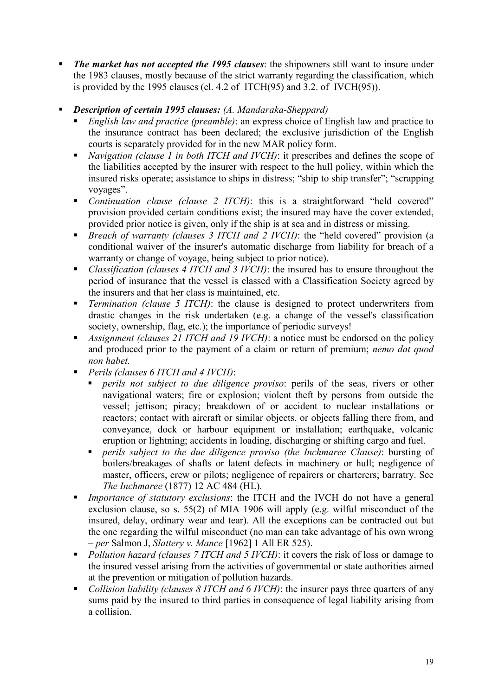- *The market has not accepted the 1995 clauses*: the shipowners still want to insure under the 1983 clauses, mostly because of the strict warranty regarding the classification, which is provided by the 1995 clauses (cl. 4.2 of ITCH(95) and 3.2. of IVCH(95)).
- *Description of certain 1995 clauses: (A. Mandaraka-Sheppard)*
	- *English law and practice (preamble)*: an express choice of English law and practice to the insurance contract has been declared; the exclusive jurisdiction of the English courts is separately provided for in the new MAR policy form.
	- *Navigation (clause 1 in both ITCH and IVCH)*: it prescribes and defines the scope of the liabilities accepted by the insurer with respect to the hull policy, within which the insured risks operate; assistance to ships in distress; "ship to ship transfer"; "scrapping voyages".
	- *Continuation clause (clause 2 ITCH)*: this is a straightforward "held covered" provision provided certain conditions exist; the insured may have the cover extended, provided prior notice is given, only if the ship is at sea and in distress or missing.
	- *Breach of warranty (clauses 3 ITCH and 2 IVCH)*: the "held covered" provision (a conditional waiver of the insurer's automatic discharge from liability for breach of a warranty or change of voyage, being subject to prior notice).
	- *Classification (clauses 4 ITCH and 3 IVCH)*: the insured has to ensure throughout the period of insurance that the vessel is classed with a Classification Society agreed by the insurers and that her class is maintained, etc.
	- *Termination (clause 5 ITCH)*: the clause is designed to protect underwriters from drastic changes in the risk undertaken (e.g. a change of the vessel's classification society, ownership, flag, etc.); the importance of periodic surveys!
	- *Assignment (clauses 21 ITCH and 19 IVCH)*: a notice must be endorsed on the policy and produced prior to the payment of a claim or return of premium; *nemo dat quod non habet.*
	- *Perils (clauses 6 ITCH and 4 IVCH)*:
		- *perils not subject to due diligence proviso*: perils of the seas, rivers or other navigational waters; fire or explosion; violent theft by persons from outside the vessel; jettison; piracy; breakdown of or accident to nuclear installations or reactors; contact with aircraft or similar objects, or objects falling there from, and conveyance, dock or harbour equipment or installation; earthquake, volcanic eruption or lightning; accidents in loading, discharging or shifting cargo and fuel.
		- *perils subject to the due diligence proviso (the Inchmaree Clause)*: bursting of boilers/breakages of shafts or latent defects in machinery or hull; negligence of master, officers, crew or pilots; negligence of repairers or charterers; barratry. See *The Inchmaree* (1877) 12 AC 484 (HL).
	- *Importance of statutory exclusions*: the ITCH and the IVCH do not have a general exclusion clause, so s. 55(2) of MIA 1906 will apply (e.g. wilful misconduct of the insured, delay, ordinary wear and tear). All the exceptions can be contracted out but the one regarding the wilful misconduct (no man can take advantage of his own wrong – *per* Salmon J, *Slattery v. Mance* [1962] 1 All ER 525).
	- **Pollution hazard (clauses 7 ITCH and 5 IVCH): it covers the risk of loss or damage to** the insured vessel arising from the activities of governmental or state authorities aimed at the prevention or mitigation of pollution hazards.
	- *Collision liability (clauses 8 ITCH and 6 IVCH)*: the insurer pays three quarters of any sums paid by the insured to third parties in consequence of legal liability arising from a collision.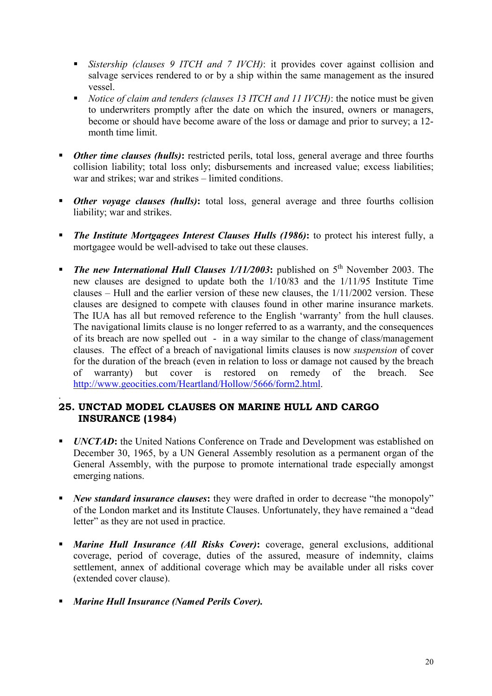- *Sistership (clauses 9 ITCH and 7 IVCH)*: it provides cover against collision and salvage services rendered to or by a ship within the same management as the insured vessel.
- *Notice of claim and tenders (clauses 13 ITCH and 11 IVCH)*: the notice must be given to underwriters promptly after the date on which the insured, owners or managers, become or should have become aware of the loss or damage and prior to survey; a 12 month time limit.
- **Divident Chinager 6** *Other time clauses (hulls)*: restricted perils, total loss, general average and three fourths collision liability; total loss only; disbursements and increased value; excess liabilities; war and strikes; war and strikes – limited conditions.
- **•** *Other voyage clauses (hulls)*: total loss, general average and three fourths collision liability; war and strikes.
- *The Institute Mortgagees Interest Clauses Hulls (1986)***:** to protect his interest fully, a mortgagee would be well-advised to take out these clauses.
- **The new International Hull Clauses 1/11/2003:** published on 5<sup>th</sup> November 2003. The new clauses are designed to update both the 1/10/83 and the 1/11/95 Institute Time clauses – Hull and the earlier version of these new clauses, the 1/11/2002 version. These clauses are designed to compete with clauses found in other marine insurance markets. The IUA has all but removed reference to the English 'warranty' from the hull clauses. The navigational limits clause is no longer referred to as a warranty, and the consequences of its breach are now spelled out - in a way similar to the change of class/management clauses. The effect of a breach of navigational limits clauses is now *suspension* of cover for the duration of the breach (even in relation to loss or damage not caused by the breach of warranty) but cover is restored on remedy of the breach. See http://www.geocities.com/Heartland/Hollow/5666/form2.html.

#### . **25. UNCTAD MODEL CLAUSES ON MARINE HULL AND CARGO INSURANCE (1984)**

- *UNCTAD*: the United Nations Conference on Trade and Development was established on December 30, 1965, by a UN General Assembly resolution as a permanent organ of the General Assembly, with the purpose to promote international trade especially amongst emerging nations.
- *New standard insurance clauses*: they were drafted in order to decrease "the monopoly" of the London market and its Institute Clauses. Unfortunately, they have remained a "dead letter" as they are not used in practice.
- *Marine Hull Insurance (All Risks Cover)***:** coverage, general exclusions, additional coverage, period of coverage, duties of the assured, measure of indemnity, claims settlement, annex of additional coverage which may be available under all risks cover (extended cover clause).
- *Marine Hull Insurance (Named Perils Cover).*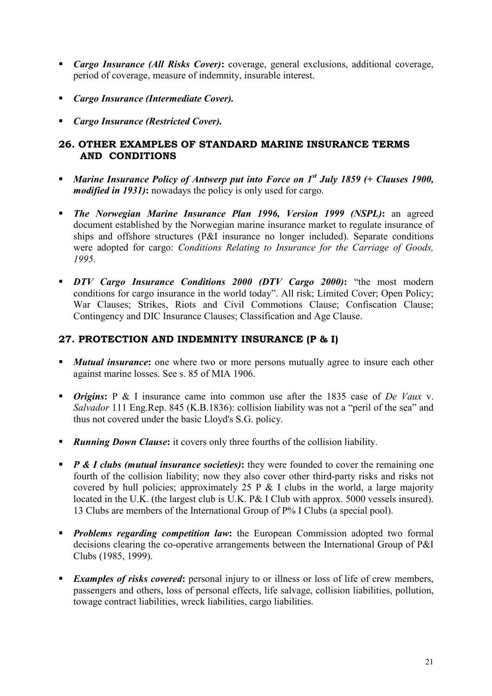- *Cargo Insurance (All Risks Cover)***:** coverage, general exclusions, additional coverage, period of coverage, measure of indemnity, insurable interest.
- *Cargo Insurance (Intermediate Cover).*
- *Cargo Insurance (Restricted Cover).*

# **26. OTHER EXAMPLES OF STANDARD MARINE INSURANCE TERMS AND CONDITIONS**

- *Marine Insurance Policy of Antwerp put into Force on 1st July 1859 (+ Clauses 1900, modified in 1931)***:** nowadays the policy is only used for cargo.
- *The Norwegian Marine Insurance Plan 1996, Version 1999 (NSPL)***:** an agreed document established by the Norwegian marine insurance market to regulate insurance of ships and offshore structures (P&I insurance no longer included). Separate conditions were adopted for cargo: *Conditions Relating to Insurance for the Carriage of Goods, 1995*.
- *DTV Cargo Insurance Conditions 2000 (DTV Cargo 2000)***:** "the most modern conditions for cargo insurance in the world today". All risk; Limited Cover; Open Policy; War Clauses; Strikes, Riots and Civil Commotions Clause; Confiscation Clause; Contingency and DIC Insurance Clauses; Classification and Age Clause.

# **27. PROTECTION AND INDEMNITY INSURANCE (P & I)**

- **Mutual insurance:** one where two or more persons mutually agree to insure each other against marine losses. See s. 85 of MIA 1906.
- *Origins***:** P & I insurance came into common use after the 1835 case of *De Vaux* v. *Salvador* 111 Eng.Rep. 845 (K.B.1836): collision liability was not a "peril of the sea" and thus not covered under the basic Lloyd's S.G. policy.
- **Running Down Clause:** it covers only three fourths of the collision liability.
- *P & I clubs (mutual insurance societies)*: they were founded to cover the remaining one fourth of the collision liability; now they also cover other third-party risks and risks not covered by hull policies; approximately 25 P  $\&$  I clubs in the world, a large majority located in the U.K. (the largest club is U.K. P& I Club with approx. 5000 vessels insured). 13 Clubs are members of the International Group of P% I Clubs (a special pool).
- **Problems regarding competition law:** the European Commission adopted two formal decisions clearing the co-operative arrangements between the International Group of P&I Clubs (1985, 1999).
- **Examples of risks covered:** personal injury to or illness or loss of life of crew members, passengers and others, loss of personal effects, life salvage, collision liabilities, pollution, towage contract liabilities, wreck liabilities, cargo liabilities.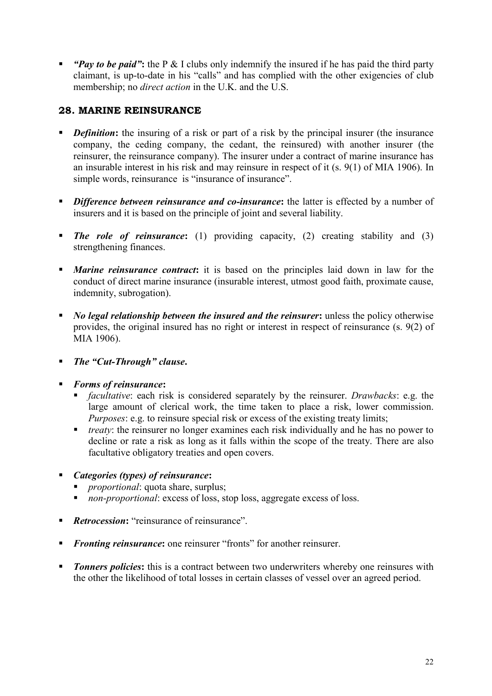*"Pay to be paid"***:** the P & I clubs only indemnify the insured if he has paid the third party claimant, is up-to-date in his "calls" and has complied with the other exigencies of club membership; no *direct action* in the U.K. and the U.S.

# **28. MARINE REINSURANCE**

- *Definition*: the insuring of a risk or part of a risk by the principal insurer (the insurance company, the ceding company, the cedant, the reinsured) with another insurer (the reinsurer, the reinsurance company). The insurer under a contract of marine insurance has an insurable interest in his risk and may reinsure in respect of it (s. 9(1) of MIA 1906). In simple words, reinsurance is "insurance of insurance".
- **Difference between reinsurance and co-insurance:** the latter is effected by a number of insurers and it is based on the principle of joint and several liability.
- **The role of reinsurance:** (1) providing capacity, (2) creating stability and (3) strengthening finances.
- *Marine reinsurance contract***:** it is based on the principles laid down in law for the conduct of direct marine insurance (insurable interest, utmost good faith, proximate cause, indemnity, subrogation).
- *No legal relationship between the insured and the reinsurer***:** unless the policy otherwise provides, the original insured has no right or interest in respect of reinsurance (s. 9(2) of MIA 1906).
- *The "Cut-Through" clause***.**
- *Forms of reinsurance***:**
	- *facultative*: each risk is considered separately by the reinsurer. *Drawbacks*: e.g. the large amount of clerical work, the time taken to place a risk, lower commission. *Purposes*: e.g. to reinsure special risk or excess of the existing treaty limits;
	- *treaty*: the reinsurer no longer examines each risk individually and he has no power to decline or rate a risk as long as it falls within the scope of the treaty. There are also facultative obligatory treaties and open covers.
- *Categories (types) of reinsurance***:**
	- *proportional:* quota share, surplus;
	- *non-proportional*: excess of loss, stop loss, aggregate excess of loss.
- **Retrocession:** "reinsurance of reinsurance"
- **Fronting reinsurance:** one reinsurer "fronts" for another reinsurer.
- **Tonners policies:** this is a contract between two underwriters whereby one reinsures with the other the likelihood of total losses in certain classes of vessel over an agreed period.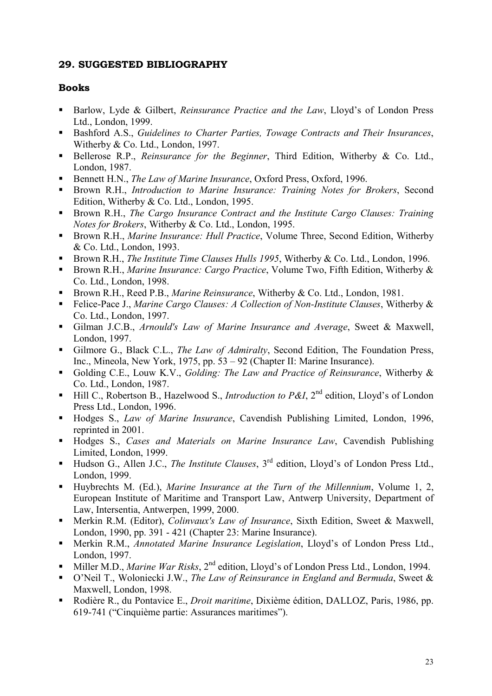# **29. SUGGESTED BIBLIOGRAPHY**

### **Books**

- Barlow, Lyde & Gilbert, *Reinsurance Practice and the Law*, Lloyd's of London Press Ltd., London, 1999.
- Bashford A.S., *Guidelines to Charter Parties, Towage Contracts and Their Insurances*, Witherby & Co. Ltd., London, 1997.
- Bellerose R.P., *Reinsurance for the Beginner*, Third Edition, Witherby & Co. Ltd., London, 1987.
- Bennett H.N., *The Law of Marine Insurance*, Oxford Press, Oxford, 1996.
- Brown R.H., *Introduction to Marine Insurance: Training Notes for Brokers*, Second Edition, Witherby & Co. Ltd., London, 1995.
- Brown R.H., *The Cargo Insurance Contract and the Institute Cargo Clauses: Training Notes for Brokers*, Witherby & Co. Ltd., London, 1995.
- Brown R.H., *Marine Insurance: Hull Practice*, Volume Three, Second Edition, Witherby & Co. Ltd., London, 1993.
- Brown R.H., *The Institute Time Clauses Hulls 1995*, Witherby & Co. Ltd., London, 1996.
- Brown R.H., *Marine Insurance: Cargo Practice*, Volume Two, Fifth Edition, Witherby & Co. Ltd., London, 1998.
- Brown R.H., Reed P.B., *Marine Reinsurance*, Witherby & Co. Ltd., London, 1981.
- Felice-Pace J., *Marine Cargo Clauses: A Collection of Non-Institute Clauses*, Witherby & Co. Ltd., London, 1997.
- Gilman J.C.B., *Arnould's Law of Marine Insurance and Average*, Sweet & Maxwell, London, 1997.
- Gilmore G., Black C.L., *The Law of Admiralty*, Second Edition, The Foundation Press, Inc., Mineola, New York, 1975, pp. 53 – 92 (Chapter II: Marine Insurance).
- Golding C.E., Louw K.V., *Golding: The Law and Practice of Reinsurance*, Witherby & Co. Ltd., London, 1987.
- Hill C., Robertson B., Hazelwood S., *Introduction to P&I*, 2<sup>nd</sup> edition, Lloyd's of London Press Ltd., London, 1996.
- Hodges S., *Law of Marine Insurance*, Cavendish Publishing Limited, London, 1996, reprinted in 2001.
- Hodges S., *Cases and Materials on Marine Insurance Law*, Cavendish Publishing Limited, London, 1999.
- Hudson G., Allen J.C., *The Institute Clauses*, 3<sup>rd</sup> edition, Lloyd's of London Press Ltd., London, 1999.
- Huybrechts M. (Ed.), *Marine Insurance at the Turn of the Millennium*, Volume 1, 2, European Institute of Maritime and Transport Law, Antwerp University, Department of Law, Intersentia, Antwerpen, 1999, 2000.
- **Merkin R.M. (Editor),** *Colinvaux's Law of Insurance*, Sixth Edition, Sweet & Maxwell, London, 1990, pp. 391 - 421 (Chapter 23: Marine Insurance).
- Merkin R.M., *Annotated Marine Insurance Legislation*, Lloyd's of London Press Ltd., London, 1997.
- Miller M.D., *Marine War Risks*, 2<sup>nd</sup> edition, Lloyd's of London Press Ltd., London, 1994.
- O'Neil T., Woloniecki J.W., *The Law of Reinsurance in England and Bermuda*, Sweet & Maxwell, London, 1998.
- Rodière R., du Pontavice E., *Droit maritime*, Dixième édition, DALLOZ, Paris, 1986, pp. 619-741 ("Cinquième partie: Assurances maritimes").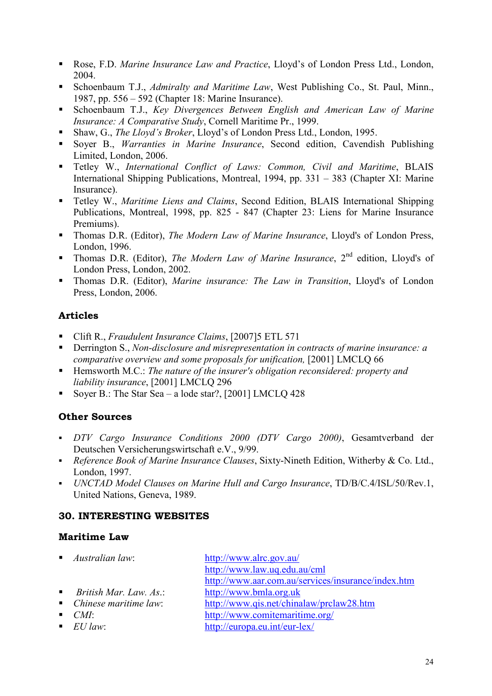- Rose, F.D. *Marine Insurance Law and Practice*, Lloyd's of London Press Ltd., London, 2004.
- Schoenbaum T.J., *Admiralty and Maritime Law*, West Publishing Co., St. Paul, Minn., 1987, pp. 556 – 592 (Chapter 18: Marine Insurance).
- Schoenbaum T.J., *Key Divergences Between English and American Law of Marine Insurance: A Comparative Study*, Cornell Maritime Pr., 1999.
- Shaw, G., *The Lloyd's Broker*, Lloyd's of London Press Ltd., London, 1995.
- Soyer B., *Warranties in Marine Insurance*, Second edition, Cavendish Publishing Limited, London, 2006.
- Tetley W., *International Conflict of Laws: Common, Civil and Maritime*, BLAIS International Shipping Publications, Montreal, 1994, pp. 331 – 383 (Chapter XI: Marine Insurance).
- Tetley W., *Maritime Liens and Claims*, Second Edition, BLAIS International Shipping Publications, Montreal, 1998, pp. 825 - 847 (Chapter 23: Liens for Marine Insurance Premiums).
- Thomas D.R. (Editor), *The Modern Law of Marine Insurance*, Lloyd's of London Press, London, 1996.
- Thomas D.R. (Editor), *The Modern Law of Marine Insurance*, 2nd edition, Lloyd's of London Press, London, 2002.
- Thomas D.R. (Editor), *Marine insurance: The Law in Transition*, Lloyd's of London Press, London, 2006.

# **Articles**

- Clift R., *Fraudulent Insurance Claims*, [2007]5 ETL 571
- Derrington S., *Non-disclosure and misrepresentation in contracts of marine insurance: a comparative overview and some proposals for unification,* [2001] LMCLQ 66
- Hemsworth M.C.: *The nature of the insurer's obligation reconsidered: property and liability insurance*, [2001] LMCLQ 296
- Soyer B.: The Star Sea a lode star?, [2001] LMCLQ 428

# **Other Sources**

- *DTV Cargo Insurance Conditions 2000 (DTV Cargo 2000)*, Gesamtverband der Deutschen Versicherungswirtschaft e.V., 9/99.
- *Reference Book of Marine Insurance Clauses*, Sixty-Nineth Edition, Witherby & Co. Ltd., London, 1997.
- *UNCTAD Model Clauses on Marine Hull and Cargo Insurance*, TD/B/C.4/ISL/50/Rev.1, United Nations, Geneva, 1989.

# **30. INTERESTING WEBSITES**

# **Maritime Law**

- 
- 
- 
- 
- 
- *Australian law*: http://www.alrc.gov.au/ http://www.law.uq.edu.au/cml http://www.aar.com.au/services/insurance/index.htm *British Mar. Law. As*.: http://www.bmla.org.uk *Chinese maritime law*: http://www.qis.net/chinalaw/prclaw28.htm ■ *CMI*: http://www.comitemaritime.org/ ■ *EU law*: http://europa.eu.int/eur-lex/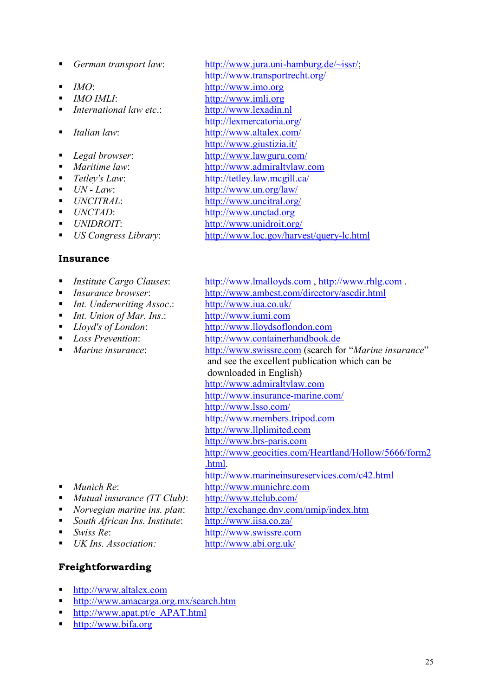- 
- 
- 
- *International law etc*.: http://www.lexadin.nl
- 
- 
- 
- 
- 
- 
- 
- 
- 

#### **Insurance**

- 
- 
- *Int. Underwriting Assoc*.: http://www.iua.co.uk/
- *Int. Union of Mar. Ins.*: http://www.iumi.com
- 
- 
- 
- *German transport law*: http://www.jura.uni-hamburg.de/~issr/; http://www.transportrecht.org/ *IMO*: http://www.imo.org *IMO IMLI*:http://www.imli.org http://lexmercatoria.org/ *Italian law*: http://www.altalex.com/ http://www.giustizia.it/ *Legal browser*: http://www.lawguru.com/ *Maritime law*: http://www.admiraltylaw.com ■ *Tetley's Law*: http://tetley.law.mcgill.ca/ ■ *UN - Law*: http://www.un.org/law/ *UNCITRAL*: http://www.uncitral.org/ ■ *UNCTAD*: http://www.unctad.org *UNIDROIT*: http://www.unidroit.org/ *US Congress Library*: http://www.loc.gov/harvest/query-lc.html
- *Institute Cargo Clauses*: http://www.lmalloyds.com , http://www.rhlg.com . *Insurance browser*: http://www.ambest.com/directory/ascdir.html *Lloyd's of London*: http://www.lloydsoflondon.com *Loss Prevention*: http://www.containerhandbook.de *Marine insurance*: http://www.swissre.com (search for "*Marine insurance*" and see the excellent publication which can be downloaded in English) http://www.admiraltylaw.com http://www.insurance-marine.com/ http://www.lsso.com/ http://www.members.tripod.com http://www.llplimited.com http://www.brs-paris.com http://www.geocities.com/Heartland/Hollow/5666/form2 .html. http://www.marineinsureservices.com/c42.html ■ *Munich Re*: http://www.munichre.com *Mutual insurance (TT Club)*: http://www.ttclub.com/ *Norvegian marine ins. plan*: http://exchange.dnv.com/nmip/index.htm
- 
- *South African Ins. Institute*: http://www.iisa.co.za/
- *Swiss Re*: http://www.swissre.com
- *UK Ins. Association:* http://www.abi.org.uk/

### **Freightforwarding**

- http://www.altalex.com
- http://www.amacarga.org.mx/search.htm
- **http://www.apat.pt/e\_APAT.html**
- http://www.bifa.org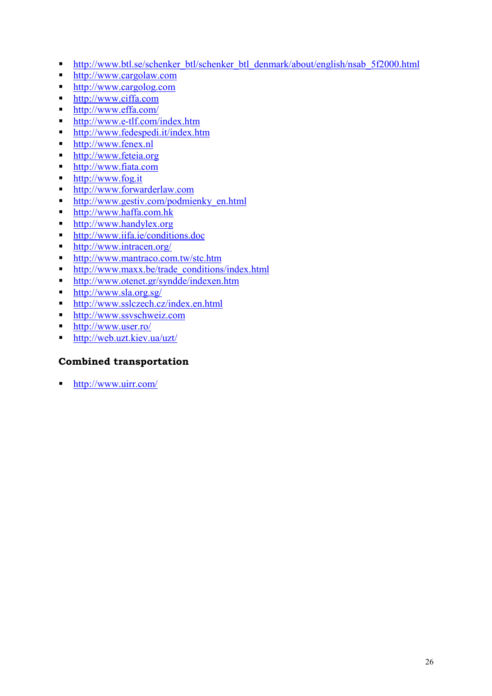- http://www.btl.se/schenker\_btl/schenker\_btl\_denmark/about/english/nsab\_5f2000.html
- http://www.cargolaw.com
- http://www.cargolog.com
- http://www.ciffa.com
- http://www.effa.com/
- http://www.e-tlf.com/index.htm
- http://www.fedespedi.it/index.htm
- http://www.fenex.nl
- http://www.feteia.org
- http://www.fiata.com
- http://www.fog.it
- **http://www.forwarderlaw.com**
- **http://www.gestiv.com/podmienky\_en.html**
- http://www.haffa.com.hk
- http://www.handylex.org
- http://www.iifa.ie/conditions.doc
- http://www.intracen.org/
- http://www.mantraco.com.tw/stc.htm
- http://www.maxx.be/trade\_conditions/index.html
- **http://www.otenet.gr/syndde/indexen.htm**
- http://www.sla.org.sg/
- http://www.sslczech.cz/index.en.html
- http://www.ssvschweiz.com
- http://www.user.ro/
- http://web.uzt.kiev.ua/uzt/

### **Combined transportation**

■ http://www.uirr.com/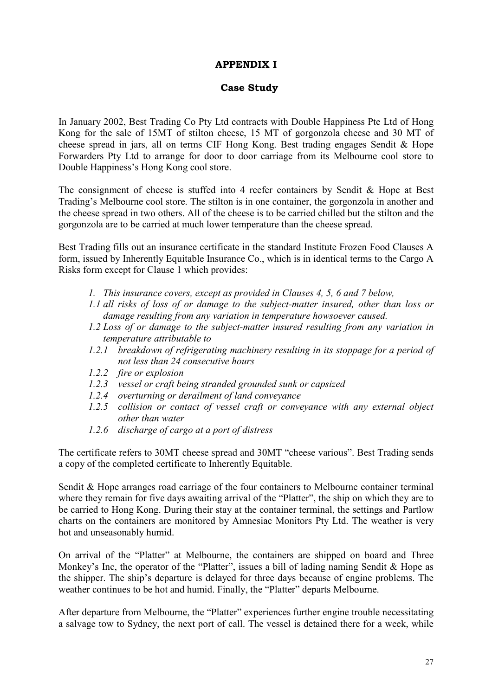# **APPENDIX I**

# **Case Study**

In January 2002, Best Trading Co Pty Ltd contracts with Double Happiness Pte Ltd of Hong Kong for the sale of 15MT of stilton cheese, 15 MT of gorgonzola cheese and 30 MT of cheese spread in jars, all on terms CIF Hong Kong. Best trading engages Sendit & Hope Forwarders Pty Ltd to arrange for door to door carriage from its Melbourne cool store to Double Happiness's Hong Kong cool store.

The consignment of cheese is stuffed into 4 reefer containers by Sendit & Hope at Best Trading's Melbourne cool store. The stilton is in one container, the gorgonzola in another and the cheese spread in two others. All of the cheese is to be carried chilled but the stilton and the gorgonzola are to be carried at much lower temperature than the cheese spread.

Best Trading fills out an insurance certificate in the standard Institute Frozen Food Clauses A form, issued by Inherently Equitable Insurance Co., which is in identical terms to the Cargo A Risks form except for Clause 1 which provides:

- *1. This insurance covers, except as provided in Clauses 4, 5, 6 and 7 below,*
- *1.1 all risks of loss of or damage to the subject-matter insured, other than loss or damage resulting from any variation in temperature howsoever caused.*
- *1.2 Loss of or damage to the subject-matter insured resulting from any variation in temperature attributable to*
- *1.2.1 breakdown of refrigerating machinery resulting in its stoppage for a period of not less than 24 consecutive hours*
- *1.2.2 fire or explosion*
- *1.2.3 vessel or craft being stranded grounded sunk or capsized*
- *1.2.4 overturning or derailment of land conveyance*
- *1.2.5 collision or contact of vessel craft or conveyance with any external object other than water*
- *1.2.6 discharge of cargo at a port of distress*

The certificate refers to 30MT cheese spread and 30MT "cheese various". Best Trading sends a copy of the completed certificate to Inherently Equitable.

Sendit & Hope arranges road carriage of the four containers to Melbourne container terminal where they remain for five days awaiting arrival of the "Platter", the ship on which they are to be carried to Hong Kong. During their stay at the container terminal, the settings and Partlow charts on the containers are monitored by Amnesiac Monitors Pty Ltd. The weather is very hot and unseasonably humid.

On arrival of the "Platter" at Melbourne, the containers are shipped on board and Three Monkey's Inc, the operator of the "Platter", issues a bill of lading naming Sendit  $&$  Hope as the shipper. The ship's departure is delayed for three days because of engine problems. The weather continues to be hot and humid. Finally, the "Platter" departs Melbourne.

After departure from Melbourne, the "Platter" experiences further engine trouble necessitating a salvage tow to Sydney, the next port of call. The vessel is detained there for a week, while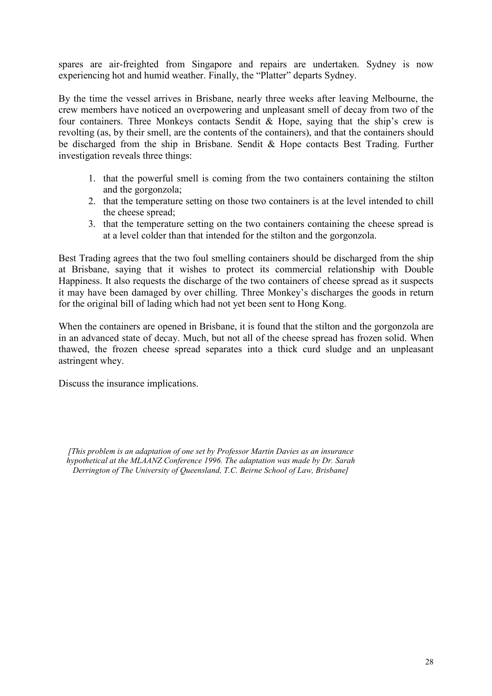spares are air-freighted from Singapore and repairs are undertaken. Sydney is now experiencing hot and humid weather. Finally, the "Platter" departs Sydney.

By the time the vessel arrives in Brisbane, nearly three weeks after leaving Melbourne, the crew members have noticed an overpowering and unpleasant smell of decay from two of the four containers. Three Monkeys contacts Sendit & Hope, saying that the ship's crew is revolting (as, by their smell, are the contents of the containers), and that the containers should be discharged from the ship in Brisbane. Sendit & Hope contacts Best Trading. Further investigation reveals three things:

- 1. that the powerful smell is coming from the two containers containing the stilton and the gorgonzola;
- 2. that the temperature setting on those two containers is at the level intended to chill the cheese spread;
- 3. that the temperature setting on the two containers containing the cheese spread is at a level colder than that intended for the stilton and the gorgonzola.

Best Trading agrees that the two foul smelling containers should be discharged from the ship at Brisbane, saying that it wishes to protect its commercial relationship with Double Happiness. It also requests the discharge of the two containers of cheese spread as it suspects it may have been damaged by over chilling. Three Monkey's discharges the goods in return for the original bill of lading which had not yet been sent to Hong Kong.

When the containers are opened in Brisbane, it is found that the stilton and the gorgonzola are in an advanced state of decay. Much, but not all of the cheese spread has frozen solid. When thawed, the frozen cheese spread separates into a thick curd sludge and an unpleasant astringent whey.

Discuss the insurance implications.

*<sup>[</sup>This problem is an adaptation of one set by Professor Martin Davies as an insurance hypothetical at the MLAANZ Conference 1996. The adaptation was made by Dr. Sarah Derrington of The University of Queensland, T.C. Beirne School of Law, Brisbane]*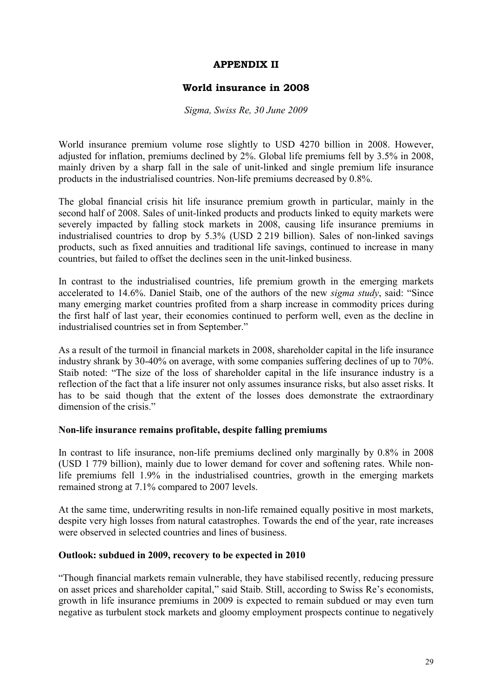### **APPENDIX II**

### **World insurance in 2008**

#### *Sigma, Swiss Re, 30 June 2009*

World insurance premium volume rose slightly to USD 4270 billion in 2008. However, adjusted for inflation, premiums declined by 2%. Global life premiums fell by 3.5% in 2008, mainly driven by a sharp fall in the sale of unit-linked and single premium life insurance products in the industrialised countries. Non-life premiums decreased by 0.8%.

The global financial crisis hit life insurance premium growth in particular, mainly in the second half of 2008. Sales of unit-linked products and products linked to equity markets were severely impacted by falling stock markets in 2008, causing life insurance premiums in industrialised countries to drop by 5.3% (USD 2 219 billion). Sales of non-linked savings products, such as fixed annuities and traditional life savings, continued to increase in many countries, but failed to offset the declines seen in the unit-linked business.

In contrast to the industrialised countries, life premium growth in the emerging markets accelerated to 14.6%. Daniel Staib, one of the authors of the new *sigma study*, said: "Since many emerging market countries profited from a sharp increase in commodity prices during the first half of last year, their economies continued to perform well, even as the decline in industrialised countries set in from September."

As a result of the turmoil in financial markets in 2008, shareholder capital in the life insurance industry shrank by 30-40% on average, with some companies suffering declines of up to 70%. Staib noted: "The size of the loss of shareholder capital in the life insurance industry is a reflection of the fact that a life insurer not only assumes insurance risks, but also asset risks. It has to be said though that the extent of the losses does demonstrate the extraordinary dimension of the crisis."

#### **Non-life insurance remains profitable, despite falling premiums**

In contrast to life insurance, non-life premiums declined only marginally by 0.8% in 2008 (USD 1 779 billion), mainly due to lower demand for cover and softening rates. While nonlife premiums fell 1.9% in the industrialised countries, growth in the emerging markets remained strong at 7.1% compared to 2007 levels.

At the same time, underwriting results in non-life remained equally positive in most markets, despite very high losses from natural catastrophes. Towards the end of the year, rate increases were observed in selected countries and lines of business.

#### **Outlook: subdued in 2009, recovery to be expected in 2010**

"Though financial markets remain vulnerable, they have stabilised recently, reducing pressure on asset prices and shareholder capital," said Staib. Still, according to Swiss Re's economists, growth in life insurance premiums in 2009 is expected to remain subdued or may even turn negative as turbulent stock markets and gloomy employment prospects continue to negatively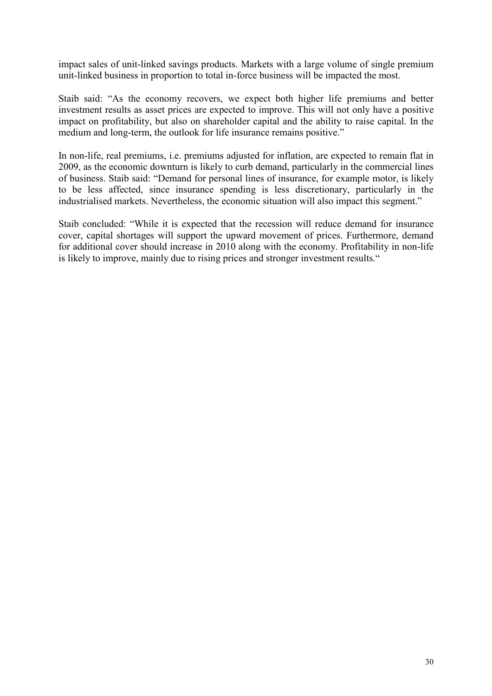impact sales of unit-linked savings products. Markets with a large volume of single premium unit-linked business in proportion to total in-force business will be impacted the most.

Staib said: "As the economy recovers, we expect both higher life premiums and better investment results as asset prices are expected to improve. This will not only have a positive impact on profitability, but also on shareholder capital and the ability to raise capital. In the medium and long-term, the outlook for life insurance remains positive."

In non-life, real premiums, i.e. premiums adjusted for inflation, are expected to remain flat in 2009, as the economic downturn is likely to curb demand, particularly in the commercial lines of business. Staib said: "Demand for personal lines of insurance, for example motor, is likely to be less affected, since insurance spending is less discretionary, particularly in the industrialised markets. Nevertheless, the economic situation will also impact this segment."

Staib concluded: "While it is expected that the recession will reduce demand for insurance cover, capital shortages will support the upward movement of prices. Furthermore, demand for additional cover should increase in 2010 along with the economy. Profitability in non-life is likely to improve, mainly due to rising prices and stronger investment results."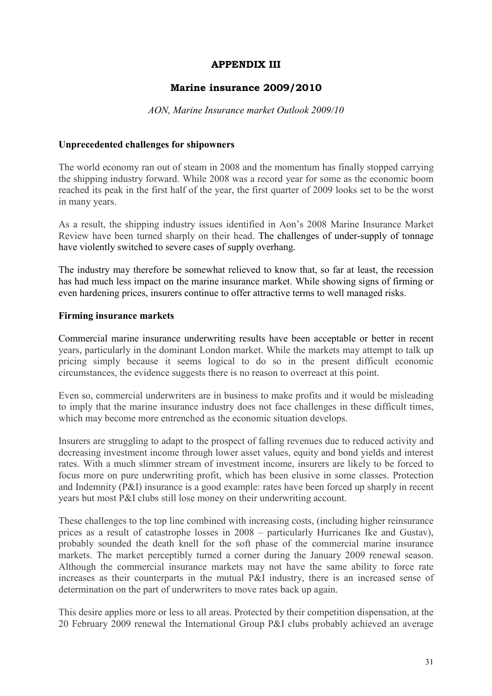### **APPENDIX III**

### **Marine insurance 2009/2010**

#### *AON, Marine Insurance market Outlook 2009/10*

#### **Unprecedented challenges for shipowners**

The world economy ran out of steam in 2008 and the momentum has finally stopped carrying the shipping industry forward. While 2008 was a record year for some as the economic boom reached its peak in the first half of the year, the first quarter of 2009 looks set to be the worst in many years.

As a result, the shipping industry issues identified in Aon's 2008 Marine Insurance Market Review have been turned sharply on their head. The challenges of under-supply of tonnage have violently switched to severe cases of supply overhang.

The industry may therefore be somewhat relieved to know that, so far at least, the recession has had much less impact on the marine insurance market. While showing signs of firming or even hardening prices, insurers continue to offer attractive terms to well managed risks.

#### **Firming insurance markets**

Commercial marine insurance underwriting results have been acceptable or better in recent years, particularly in the dominant London market. While the markets may attempt to talk up pricing simply because it seems logical to do so in the present difficult economic circumstances, the evidence suggests there is no reason to overreact at this point.

Even so, commercial underwriters are in business to make profits and it would be misleading to imply that the marine insurance industry does not face challenges in these difficult times, which may become more entrenched as the economic situation develops.

Insurers are struggling to adapt to the prospect of falling revenues due to reduced activity and decreasing investment income through lower asset values, equity and bond yields and interest rates. With a much slimmer stream of investment income, insurers are likely to be forced to focus more on pure underwriting profit, which has been elusive in some classes. Protection and Indemnity (P&I) insurance is a good example: rates have been forced up sharply in recent years but most P&I clubs still lose money on their underwriting account.

These challenges to the top line combined with increasing costs, (including higher reinsurance prices as a result of catastrophe losses in 2008 – particularly Hurricanes Ike and Gustav), probably sounded the death knell for the soft phase of the commercial marine insurance markets. The market perceptibly turned a corner during the January 2009 renewal season. Although the commercial insurance markets may not have the same ability to force rate increases as their counterparts in the mutual P&I industry, there is an increased sense of determination on the part of underwriters to move rates back up again.

This desire applies more or less to all areas. Protected by their competition dispensation, at the 20 February 2009 renewal the International Group P&I clubs probably achieved an average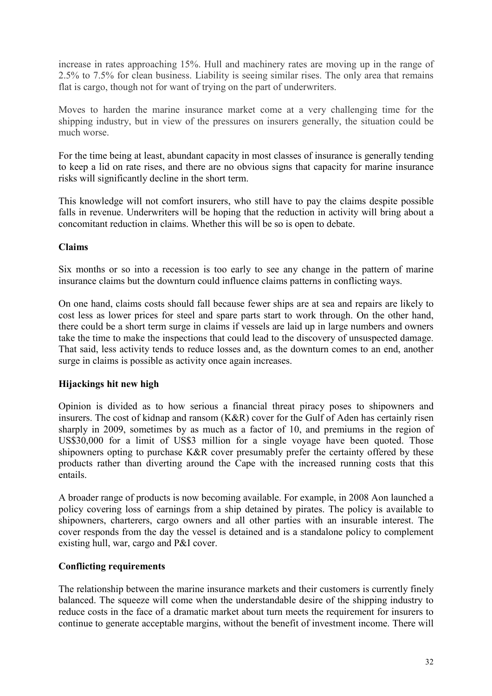increase in rates approaching 15%. Hull and machinery rates are moving up in the range of 2.5% to 7.5% for clean business. Liability is seeing similar rises. The only area that remains flat is cargo, though not for want of trying on the part of underwriters.

Moves to harden the marine insurance market come at a very challenging time for the shipping industry, but in view of the pressures on insurers generally, the situation could be much worse.

For the time being at least, abundant capacity in most classes of insurance is generally tending to keep a lid on rate rises, and there are no obvious signs that capacity for marine insurance risks will significantly decline in the short term.

This knowledge will not comfort insurers, who still have to pay the claims despite possible falls in revenue. Underwriters will be hoping that the reduction in activity will bring about a concomitant reduction in claims. Whether this will be so is open to debate.

#### **Claims**

Six months or so into a recession is too early to see any change in the pattern of marine insurance claims but the downturn could influence claims patterns in conflicting ways.

On one hand, claims costs should fall because fewer ships are at sea and repairs are likely to cost less as lower prices for steel and spare parts start to work through. On the other hand, there could be a short term surge in claims if vessels are laid up in large numbers and owners take the time to make the inspections that could lead to the discovery of unsuspected damage. That said, less activity tends to reduce losses and, as the downturn comes to an end, another surge in claims is possible as activity once again increases.

### **Hijackings hit new high**

Opinion is divided as to how serious a financial threat piracy poses to shipowners and insurers. The cost of kidnap and ransom (K&R) cover for the Gulf of Aden has certainly risen sharply in 2009, sometimes by as much as a factor of 10, and premiums in the region of US\$30,000 for a limit of US\$3 million for a single voyage have been quoted. Those shipowners opting to purchase K&R cover presumably prefer the certainty offered by these products rather than diverting around the Cape with the increased running costs that this entails.

A broader range of products is now becoming available. For example, in 2008 Aon launched a policy covering loss of earnings from a ship detained by pirates. The policy is available to shipowners, charterers, cargo owners and all other parties with an insurable interest. The cover responds from the day the vessel is detained and is a standalone policy to complement existing hull, war, cargo and P&I cover.

### **Conflicting requirements**

The relationship between the marine insurance markets and their customers is currently finely balanced. The squeeze will come when the understandable desire of the shipping industry to reduce costs in the face of a dramatic market about turn meets the requirement for insurers to continue to generate acceptable margins, without the benefit of investment income. There will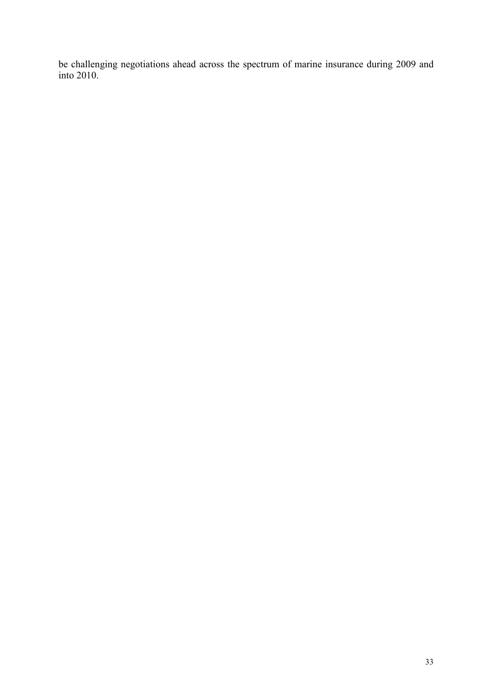be challenging negotiations ahead across the spectrum of marine insurance during 2009 and into 2010.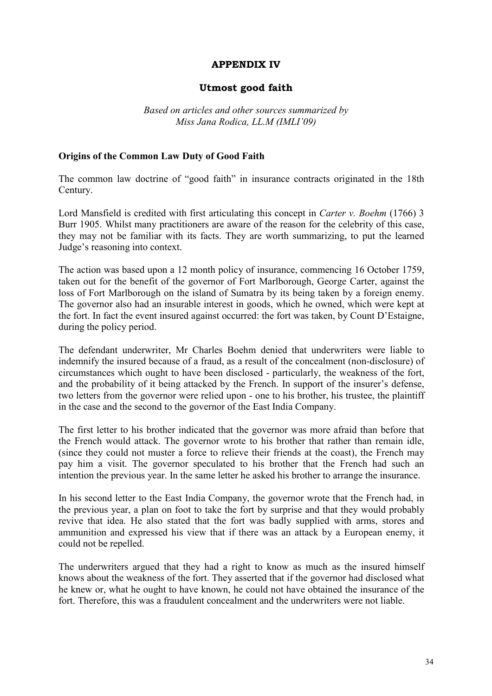#### **APPENDIX IV**

#### **Utmost good faith**

*Based on articles and other sources summarized by Miss Jana Rodica, LL.M (IMLI'09)* 

#### **Origins of the Common Law Duty of Good Faith**

The common law doctrine of "good faith" in insurance contracts originated in the 18th Century.

Lord Mansfield is credited with first articulating this concept in *Carter v. Boehm* (1766) 3 Burr 1905. Whilst many practitioners are aware of the reason for the celebrity of this case, they may not be familiar with its facts. They are worth summarizing, to put the learned Judge's reasoning into context.

The action was based upon a 12 month policy of insurance, commencing 16 October 1759, taken out for the benefit of the governor of Fort Marlborough, George Carter, against the loss of Fort Marlborough on the island of Sumatra by its being taken by a foreign enemy. The governor also had an insurable interest in goods, which he owned, which were kept at the fort. In fact the event insured against occurred: the fort was taken, by Count D'Estaigne, during the policy period.

The defendant underwriter, Mr Charles Boehm denied that underwriters were liable to indemnify the insured because of a fraud, as a result of the concealment (non-disclosure) of circumstances which ought to have been disclosed - particularly, the weakness of the fort, and the probability of it being attacked by the French. In support of the insurer's defense, two letters from the governor were relied upon - one to his brother, his trustee, the plaintiff in the case and the second to the governor of the East India Company.

The first letter to his brother indicated that the governor was more afraid than before that the French would attack. The governor wrote to his brother that rather than remain idle, (since they could not muster a force to relieve their friends at the coast), the French may pay him a visit. The governor speculated to his brother that the French had such an intention the previous year. In the same letter he asked his brother to arrange the insurance.

In his second letter to the East India Company, the governor wrote that the French had, in the previous year, a plan on foot to take the fort by surprise and that they would probably revive that idea. He also stated that the fort was badly supplied with arms, stores and ammunition and expressed his view that if there was an attack by a European enemy, it could not be repelled.

The underwriters argued that they had a right to know as much as the insured himself knows about the weakness of the fort. They asserted that if the governor had disclosed what he knew or, what he ought to have known, he could not have obtained the insurance of the fort. Therefore, this was a fraudulent concealment and the underwriters were not liable.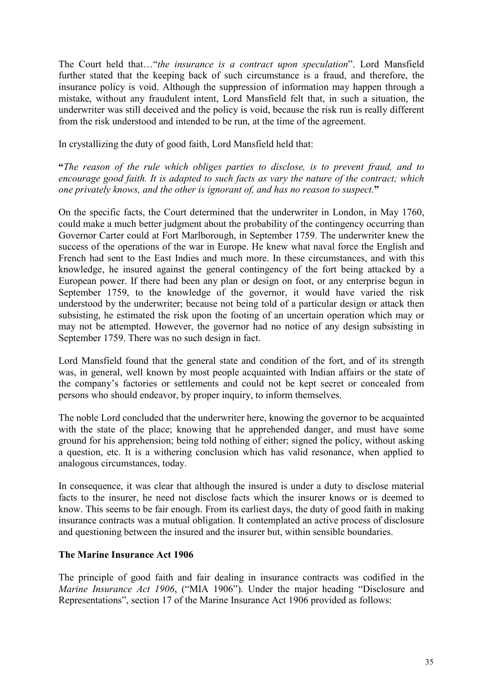The Court held that…"*the insurance is a contract upon speculation*". Lord Mansfield further stated that the keeping back of such circumstance is a fraud, and therefore, the insurance policy is void. Although the suppression of information may happen through a mistake, without any fraudulent intent, Lord Mansfield felt that, in such a situation, the underwriter was still deceived and the policy is void, because the risk run is really different from the risk understood and intended to be run, at the time of the agreement.

In crystallizing the duty of good faith, Lord Mansfield held that:

**"***The reason of the rule which obliges parties to disclose, is to prevent fraud, and to encourage good faith. It is adapted to such facts as vary the nature of the contract; which one privately knows, and the other is ignorant of, and has no reason to suspect.***"** 

On the specific facts, the Court determined that the underwriter in London, in May 1760, could make a much better judgment about the probability of the contingency occurring than Governor Carter could at Fort Marlborough, in September 1759. The underwriter knew the success of the operations of the war in Europe. He knew what naval force the English and French had sent to the East Indies and much more. In these circumstances, and with this knowledge, he insured against the general contingency of the fort being attacked by a European power. If there had been any plan or design on foot, or any enterprise begun in September 1759, to the knowledge of the governor, it would have varied the risk understood by the underwriter; because not being told of a particular design or attack then subsisting, he estimated the risk upon the footing of an uncertain operation which may or may not be attempted. However, the governor had no notice of any design subsisting in September 1759. There was no such design in fact.

Lord Mansfield found that the general state and condition of the fort, and of its strength was, in general, well known by most people acquainted with Indian affairs or the state of the company's factories or settlements and could not be kept secret or concealed from persons who should endeavor, by proper inquiry, to inform themselves.

The noble Lord concluded that the underwriter here, knowing the governor to be acquainted with the state of the place; knowing that he apprehended danger, and must have some ground for his apprehension; being told nothing of either; signed the policy, without asking a question, etc. It is a withering conclusion which has valid resonance, when applied to analogous circumstances, today.

In consequence, it was clear that although the insured is under a duty to disclose material facts to the insurer, he need not disclose facts which the insurer knows or is deemed to know. This seems to be fair enough. From its earliest days, the duty of good faith in making insurance contracts was a mutual obligation. It contemplated an active process of disclosure and questioning between the insured and the insurer but, within sensible boundaries.

#### **The Marine Insurance Act 1906**

The principle of good faith and fair dealing in insurance contracts was codified in the *Marine Insurance Act 1906*, ("MIA 1906"). Under the major heading "Disclosure and Representations", section 17 of the Marine Insurance Act 1906 provided as follows: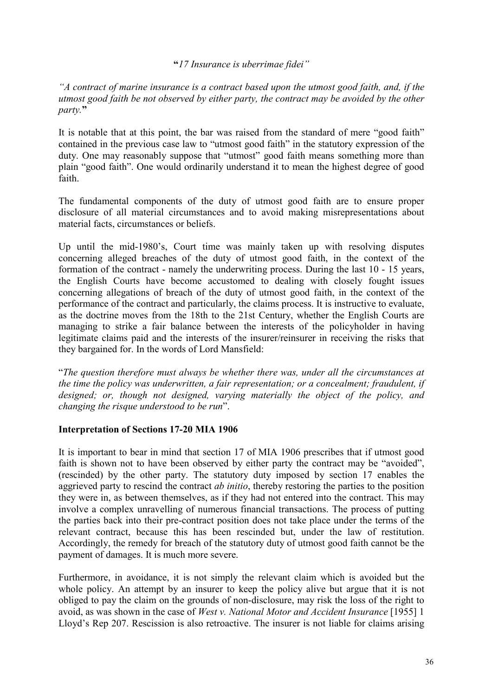### **"***17 Insurance is uberrimae fidei"*

*"A contract of marine insurance is a contract based upon the utmost good faith, and, if the utmost good faith be not observed by either party, the contract may be avoided by the other party.***"** 

It is notable that at this point, the bar was raised from the standard of mere "good faith" contained in the previous case law to "utmost good faith" in the statutory expression of the duty. One may reasonably suppose that "utmost" good faith means something more than plain "good faith". One would ordinarily understand it to mean the highest degree of good faith.

The fundamental components of the duty of utmost good faith are to ensure proper disclosure of all material circumstances and to avoid making misrepresentations about material facts, circumstances or beliefs.

Up until the mid-1980's, Court time was mainly taken up with resolving disputes concerning alleged breaches of the duty of utmost good faith, in the context of the formation of the contract - namely the underwriting process. During the last 10 - 15 years, the English Courts have become accustomed to dealing with closely fought issues concerning allegations of breach of the duty of utmost good faith, in the context of the performance of the contract and particularly, the claims process. It is instructive to evaluate, as the doctrine moves from the 18th to the 21st Century, whether the English Courts are managing to strike a fair balance between the interests of the policyholder in having legitimate claims paid and the interests of the insurer/reinsurer in receiving the risks that they bargained for. In the words of Lord Mansfield:

"*The question therefore must always be whether there was, under all the circumstances at the time the policy was underwritten, a fair representation; or a concealment; fraudulent, if designed; or, though not designed, varying materially the object of the policy, and changing the risque understood to be run*".

#### **Interpretation of Sections 17-20 MIA 1906**

It is important to bear in mind that section 17 of MIA 1906 prescribes that if utmost good faith is shown not to have been observed by either party the contract may be "avoided", (rescinded) by the other party. The statutory duty imposed by section 17 enables the aggrieved party to rescind the contract *ab initio*, thereby restoring the parties to the position they were in, as between themselves, as if they had not entered into the contract. This may involve a complex unravelling of numerous financial transactions. The process of putting the parties back into their pre-contract position does not take place under the terms of the relevant contract, because this has been rescinded but, under the law of restitution. Accordingly, the remedy for breach of the statutory duty of utmost good faith cannot be the payment of damages. It is much more severe.

Furthermore, in avoidance, it is not simply the relevant claim which is avoided but the whole policy. An attempt by an insurer to keep the policy alive but argue that it is not obliged to pay the claim on the grounds of non-disclosure, may risk the loss of the right to avoid, as was shown in the case of *West v. National Motor and Accident Insurance* [1955] 1 Lloyd's Rep 207. Rescission is also retroactive. The insurer is not liable for claims arising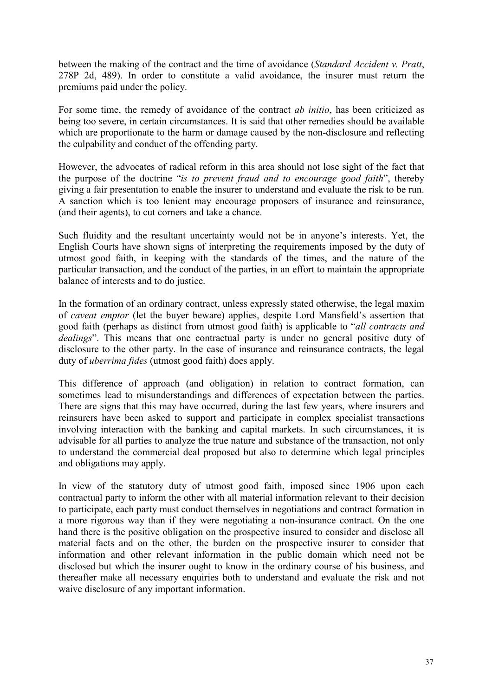between the making of the contract and the time of avoidance (*Standard Accident v. Pratt*, 278P 2d, 489). In order to constitute a valid avoidance, the insurer must return the premiums paid under the policy.

For some time, the remedy of avoidance of the contract *ab initio*, has been criticized as being too severe, in certain circumstances. It is said that other remedies should be available which are proportionate to the harm or damage caused by the non-disclosure and reflecting the culpability and conduct of the offending party.

However, the advocates of radical reform in this area should not lose sight of the fact that the purpose of the doctrine "*is to prevent fraud and to encourage good faith*", thereby giving a fair presentation to enable the insurer to understand and evaluate the risk to be run. A sanction which is too lenient may encourage proposers of insurance and reinsurance, (and their agents), to cut corners and take a chance.

Such fluidity and the resultant uncertainty would not be in anyone's interests. Yet, the English Courts have shown signs of interpreting the requirements imposed by the duty of utmost good faith, in keeping with the standards of the times, and the nature of the particular transaction, and the conduct of the parties, in an effort to maintain the appropriate balance of interests and to do justice.

In the formation of an ordinary contract, unless expressly stated otherwise, the legal maxim of *caveat emptor* (let the buyer beware) applies, despite Lord Mansfield's assertion that good faith (perhaps as distinct from utmost good faith) is applicable to "*all contracts and dealings*". This means that one contractual party is under no general positive duty of disclosure to the other party. In the case of insurance and reinsurance contracts, the legal duty of *uberrima fides* (utmost good faith) does apply.

This difference of approach (and obligation) in relation to contract formation, can sometimes lead to misunderstandings and differences of expectation between the parties. There are signs that this may have occurred, during the last few years, where insurers and reinsurers have been asked to support and participate in complex specialist transactions involving interaction with the banking and capital markets. In such circumstances, it is advisable for all parties to analyze the true nature and substance of the transaction, not only to understand the commercial deal proposed but also to determine which legal principles and obligations may apply.

In view of the statutory duty of utmost good faith, imposed since 1906 upon each contractual party to inform the other with all material information relevant to their decision to participate, each party must conduct themselves in negotiations and contract formation in a more rigorous way than if they were negotiating a non-insurance contract. On the one hand there is the positive obligation on the prospective insured to consider and disclose all material facts and on the other, the burden on the prospective insurer to consider that information and other relevant information in the public domain which need not be disclosed but which the insurer ought to know in the ordinary course of his business, and thereafter make all necessary enquiries both to understand and evaluate the risk and not waive disclosure of any important information.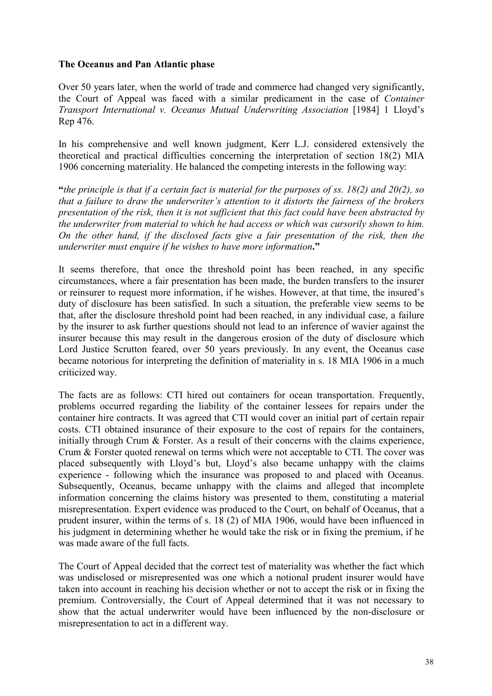#### **The Oceanus and Pan Atlantic phase**

Over 50 years later, when the world of trade and commerce had changed very significantly, the Court of Appeal was faced with a similar predicament in the case of *Container Transport International v. Oceanus Mutual Underwriting Association* [1984] 1 Lloyd's Rep 476.

In his comprehensive and well known judgment, Kerr L.J. considered extensively the theoretical and practical difficulties concerning the interpretation of section 18(2) MIA 1906 concerning materiality. He balanced the competing interests in the following way:

**"***the principle is that if a certain fact is material for the purposes of ss. 18(2) and 20(2), so that a failure to draw the underwriter's attention to it distorts the fairness of the brokers presentation of the risk, then it is not sufficient that this fact could have been abstracted by the underwriter from material to which he had access or which was cursorily shown to him. On the other hand, if the disclosed facts give a fair presentation of the risk, then the underwriter must enquire if he wishes to have more information***."** 

It seems therefore, that once the threshold point has been reached, in any specific circumstances, where a fair presentation has been made, the burden transfers to the insurer or reinsurer to request more information, if he wishes. However, at that time, the insured's duty of disclosure has been satisfied. In such a situation, the preferable view seems to be that, after the disclosure threshold point had been reached, in any individual case, a failure by the insurer to ask further questions should not lead to an inference of wavier against the insurer because this may result in the dangerous erosion of the duty of disclosure which Lord Justice Scrutton feared, over 50 years previously. In any event, the Oceanus case became notorious for interpreting the definition of materiality in s. 18 MIA 1906 in a much criticized way.

The facts are as follows: CTI hired out containers for ocean transportation. Frequently, problems occurred regarding the liability of the container lessees for repairs under the container hire contracts. It was agreed that CTI would cover an initial part of certain repair costs. CTI obtained insurance of their exposure to the cost of repairs for the containers, initially through Crum & Forster. As a result of their concerns with the claims experience, Crum & Forster quoted renewal on terms which were not acceptable to CTI. The cover was placed subsequently with Lloyd's but, Lloyd's also became unhappy with the claims experience - following which the insurance was proposed to and placed with Oceanus. Subsequently, Oceanus, became unhappy with the claims and alleged that incomplete information concerning the claims history was presented to them, constituting a material misrepresentation. Expert evidence was produced to the Court, on behalf of Oceanus, that a prudent insurer, within the terms of s. 18 (2) of MIA 1906, would have been influenced in his judgment in determining whether he would take the risk or in fixing the premium, if he was made aware of the full facts.

The Court of Appeal decided that the correct test of materiality was whether the fact which was undisclosed or misrepresented was one which a notional prudent insurer would have taken into account in reaching his decision whether or not to accept the risk or in fixing the premium. Controversially, the Court of Appeal determined that it was not necessary to show that the actual underwriter would have been influenced by the non-disclosure or misrepresentation to act in a different way.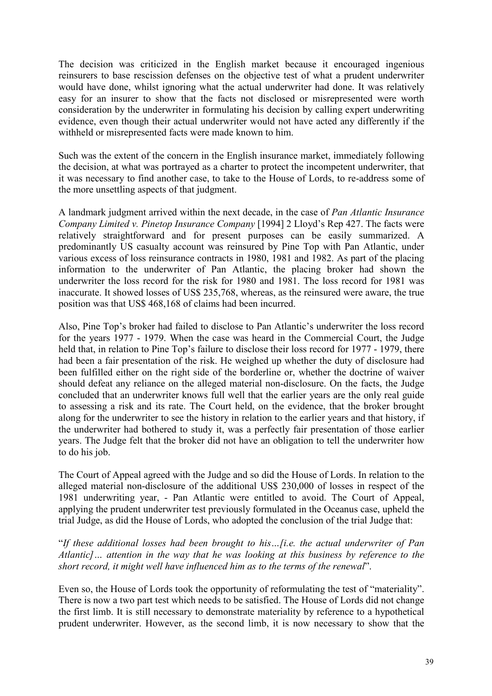The decision was criticized in the English market because it encouraged ingenious reinsurers to base rescission defenses on the objective test of what a prudent underwriter would have done, whilst ignoring what the actual underwriter had done. It was relatively easy for an insurer to show that the facts not disclosed or misrepresented were worth consideration by the underwriter in formulating his decision by calling expert underwriting evidence, even though their actual underwriter would not have acted any differently if the withheld or misrepresented facts were made known to him.

Such was the extent of the concern in the English insurance market, immediately following the decision, at what was portrayed as a charter to protect the incompetent underwriter, that it was necessary to find another case, to take to the House of Lords, to re-address some of the more unsettling aspects of that judgment.

A landmark judgment arrived within the next decade, in the case of *Pan Atlantic Insurance Company Limited v. Pinetop Insurance Company* [1994] 2 Lloyd's Rep 427. The facts were relatively straightforward and for present purposes can be easily summarized. A predominantly US casualty account was reinsured by Pine Top with Pan Atlantic, under various excess of loss reinsurance contracts in 1980, 1981 and 1982. As part of the placing information to the underwriter of Pan Atlantic, the placing broker had shown the underwriter the loss record for the risk for 1980 and 1981. The loss record for 1981 was inaccurate. It showed losses of US\$ 235,768, whereas, as the reinsured were aware, the true position was that US\$ 468,168 of claims had been incurred.

Also, Pine Top's broker had failed to disclose to Pan Atlantic's underwriter the loss record for the years 1977 - 1979. When the case was heard in the Commercial Court, the Judge held that, in relation to Pine Top's failure to disclose their loss record for 1977 - 1979, there had been a fair presentation of the risk. He weighed up whether the duty of disclosure had been fulfilled either on the right side of the borderline or, whether the doctrine of waiver should defeat any reliance on the alleged material non-disclosure. On the facts, the Judge concluded that an underwriter knows full well that the earlier years are the only real guide to assessing a risk and its rate. The Court held, on the evidence, that the broker brought along for the underwriter to see the history in relation to the earlier years and that history, if the underwriter had bothered to study it, was a perfectly fair presentation of those earlier years. The Judge felt that the broker did not have an obligation to tell the underwriter how to do his job.

The Court of Appeal agreed with the Judge and so did the House of Lords. In relation to the alleged material non-disclosure of the additional US\$ 230,000 of losses in respect of the 1981 underwriting year, - Pan Atlantic were entitled to avoid. The Court of Appeal, applying the prudent underwriter test previously formulated in the Oceanus case, upheld the trial Judge, as did the House of Lords, who adopted the conclusion of the trial Judge that:

"*If these additional losses had been brought to his…[i.e. the actual underwriter of Pan Atlantic]… attention in the way that he was looking at this business by reference to the short record, it might well have influenced him as to the terms of the renewal*".

Even so, the House of Lords took the opportunity of reformulating the test of "materiality". There is now a two part test which needs to be satisfied. The House of Lords did not change the first limb. It is still necessary to demonstrate materiality by reference to a hypothetical prudent underwriter. However, as the second limb, it is now necessary to show that the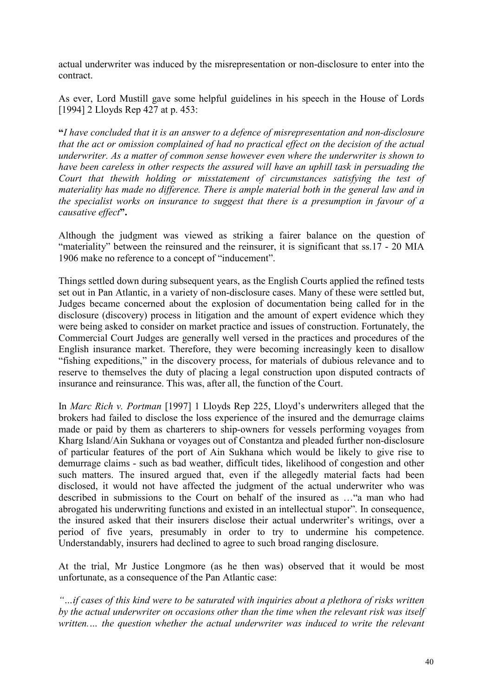actual underwriter was induced by the misrepresentation or non-disclosure to enter into the contract.

As ever, Lord Mustill gave some helpful guidelines in his speech in the House of Lords [1994] 2 Lloyds Rep 427 at p. 453:

**"***I have concluded that it is an answer to a defence of misrepresentation and non-disclosure that the act or omission complained of had no practical effect on the decision of the actual underwriter. As a matter of common sense however even where the underwriter is shown to have been careless in other respects the assured will have an uphill task in persuading the Court that thewith holding or misstatement of circumstances satisfying the test of materiality has made no difference. There is ample material both in the general law and in the specialist works on insurance to suggest that there is a presumption in favour of a causative effect***".** 

Although the judgment was viewed as striking a fairer balance on the question of "materiality" between the reinsured and the reinsurer, it is significant that ss.17 - 20 MIA 1906 make no reference to a concept of "inducement".

Things settled down during subsequent years, as the English Courts applied the refined tests set out in Pan Atlantic, in a variety of non-disclosure cases. Many of these were settled but, Judges became concerned about the explosion of documentation being called for in the disclosure (discovery) process in litigation and the amount of expert evidence which they were being asked to consider on market practice and issues of construction. Fortunately, the Commercial Court Judges are generally well versed in the practices and procedures of the English insurance market. Therefore, they were becoming increasingly keen to disallow "fishing expeditions," in the discovery process, for materials of dubious relevance and to reserve to themselves the duty of placing a legal construction upon disputed contracts of insurance and reinsurance. This was, after all, the function of the Court.

In *Marc Rich v. Portman* [1997] 1 Lloyds Rep 225, Lloyd's underwriters alleged that the brokers had failed to disclose the loss experience of the insured and the demurrage claims made or paid by them as charterers to ship-owners for vessels performing voyages from Kharg Island/Ain Sukhana or voyages out of Constantza and pleaded further non-disclosure of particular features of the port of Ain Sukhana which would be likely to give rise to demurrage claims - such as bad weather, difficult tides, likelihood of congestion and other such matters. The insured argued that, even if the allegedly material facts had been disclosed, it would not have affected the judgment of the actual underwriter who was described in submissions to the Court on behalf of the insured as …"a man who had abrogated his underwriting functions and existed in an intellectual stupor". In consequence, the insured asked that their insurers disclose their actual underwriter's writings, over a period of five years, presumably in order to try to undermine his competence. Understandably, insurers had declined to agree to such broad ranging disclosure.

At the trial, Mr Justice Longmore (as he then was) observed that it would be most unfortunate, as a consequence of the Pan Atlantic case:

*"…if cases of this kind were to be saturated with inquiries about a plethora of risks written by the actual underwriter on occasions other than the time when the relevant risk was itself written.… the question whether the actual underwriter was induced to write the relevant*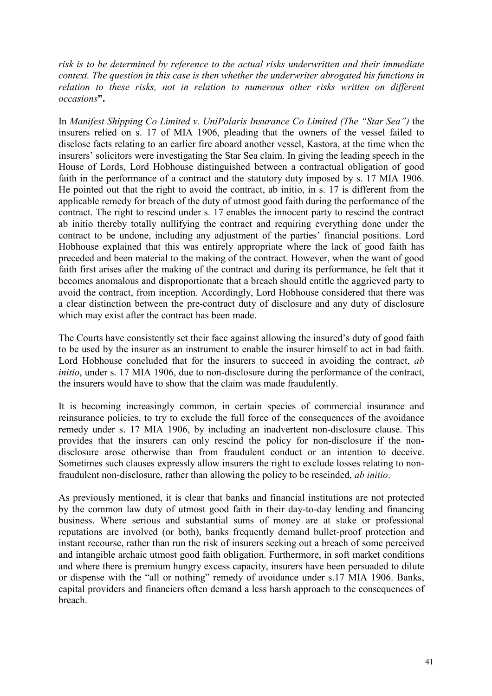*risk is to be determined by reference to the actual risks underwritten and their immediate context. The question in this case is then whether the underwriter abrogated his functions in relation to these risks, not in relation to numerous other risks written on different occasions***".** 

In *Manifest Shipping Co Limited v. UniPolaris Insurance Co Limited (The "Star Sea")* the insurers relied on s. 17 of MIA 1906, pleading that the owners of the vessel failed to disclose facts relating to an earlier fire aboard another vessel, Kastora, at the time when the insurers' solicitors were investigating the Star Sea claim. In giving the leading speech in the House of Lords, Lord Hobhouse distinguished between a contractual obligation of good faith in the performance of a contract and the statutory duty imposed by s. 17 MIA 1906. He pointed out that the right to avoid the contract, ab initio, in s. 17 is different from the applicable remedy for breach of the duty of utmost good faith during the performance of the contract. The right to rescind under s. 17 enables the innocent party to rescind the contract ab initio thereby totally nullifying the contract and requiring everything done under the contract to be undone, including any adjustment of the parties' financial positions. Lord Hobhouse explained that this was entirely appropriate where the lack of good faith has preceded and been material to the making of the contract. However, when the want of good faith first arises after the making of the contract and during its performance, he felt that it becomes anomalous and disproportionate that a breach should entitle the aggrieved party to avoid the contract, from inception. Accordingly, Lord Hobhouse considered that there was a clear distinction between the pre-contract duty of disclosure and any duty of disclosure which may exist after the contract has been made.

The Courts have consistently set their face against allowing the insured's duty of good faith to be used by the insurer as an instrument to enable the insurer himself to act in bad faith. Lord Hobhouse concluded that for the insurers to succeed in avoiding the contract, *ab initio*, under s. 17 MIA 1906, due to non-disclosure during the performance of the contract, the insurers would have to show that the claim was made fraudulently.

It is becoming increasingly common, in certain species of commercial insurance and reinsurance policies, to try to exclude the full force of the consequences of the avoidance remedy under s. 17 MIA 1906, by including an inadvertent non-disclosure clause. This provides that the insurers can only rescind the policy for non-disclosure if the nondisclosure arose otherwise than from fraudulent conduct or an intention to deceive. Sometimes such clauses expressly allow insurers the right to exclude losses relating to nonfraudulent non-disclosure, rather than allowing the policy to be rescinded, *ab initio*.

As previously mentioned, it is clear that banks and financial institutions are not protected by the common law duty of utmost good faith in their day-to-day lending and financing business. Where serious and substantial sums of money are at stake or professional reputations are involved (or both), banks frequently demand bullet-proof protection and instant recourse, rather than run the risk of insurers seeking out a breach of some perceived and intangible archaic utmost good faith obligation. Furthermore, in soft market conditions and where there is premium hungry excess capacity, insurers have been persuaded to dilute or dispense with the "all or nothing" remedy of avoidance under s.17 MIA 1906. Banks, capital providers and financiers often demand a less harsh approach to the consequences of breach.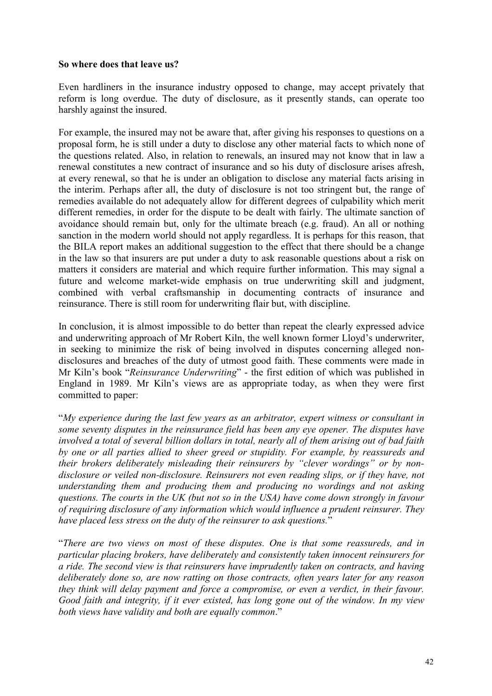#### **So where does that leave us?**

Even hardliners in the insurance industry opposed to change, may accept privately that reform is long overdue. The duty of disclosure, as it presently stands, can operate too harshly against the insured.

For example, the insured may not be aware that, after giving his responses to questions on a proposal form, he is still under a duty to disclose any other material facts to which none of the questions related. Also, in relation to renewals, an insured may not know that in law a renewal constitutes a new contract of insurance and so his duty of disclosure arises afresh, at every renewal, so that he is under an obligation to disclose any material facts arising in the interim. Perhaps after all, the duty of disclosure is not too stringent but, the range of remedies available do not adequately allow for different degrees of culpability which merit different remedies, in order for the dispute to be dealt with fairly. The ultimate sanction of avoidance should remain but, only for the ultimate breach (e.g. fraud). An all or nothing sanction in the modern world should not apply regardless. It is perhaps for this reason, that the BILA report makes an additional suggestion to the effect that there should be a change in the law so that insurers are put under a duty to ask reasonable questions about a risk on matters it considers are material and which require further information. This may signal a future and welcome market-wide emphasis on true underwriting skill and judgment, combined with verbal craftsmanship in documenting contracts of insurance and reinsurance. There is still room for underwriting flair but, with discipline.

In conclusion, it is almost impossible to do better than repeat the clearly expressed advice and underwriting approach of Mr Robert Kiln, the well known former Lloyd's underwriter, in seeking to minimize the risk of being involved in disputes concerning alleged nondisclosures and breaches of the duty of utmost good faith. These comments were made in Mr Kiln's book "*Reinsurance Underwriting*" - the first edition of which was published in England in 1989. Mr Kiln's views are as appropriate today, as when they were first committed to paper:

"*My experience during the last few years as an arbitrator, expert witness or consultant in some seventy disputes in the reinsurance field has been any eye opener. The disputes have involved a total of several billion dollars in total, nearly all of them arising out of bad faith by one or all parties allied to sheer greed or stupidity. For example, by reassureds and their brokers deliberately misleading their reinsurers by "clever wordings" or by nondisclosure or veiled non-disclosure. Reinsurers not even reading slips, or if they have, not understanding them and producing them and producing no wordings and not asking questions. The courts in the UK (but not so in the USA) have come down strongly in favour of requiring disclosure of any information which would influence a prudent reinsurer. They have placed less stress on the duty of the reinsurer to ask questions.*"

"*There are two views on most of these disputes. One is that some reassureds, and in particular placing brokers, have deliberately and consistently taken innocent reinsurers for a ride. The second view is that reinsurers have imprudently taken on contracts, and having deliberately done so, are now ratting on those contracts, often years later for any reason they think will delay payment and force a compromise, or even a verdict, in their favour. Good faith and integrity, if it ever existed, has long gone out of the window. In my view both views have validity and both are equally common*."